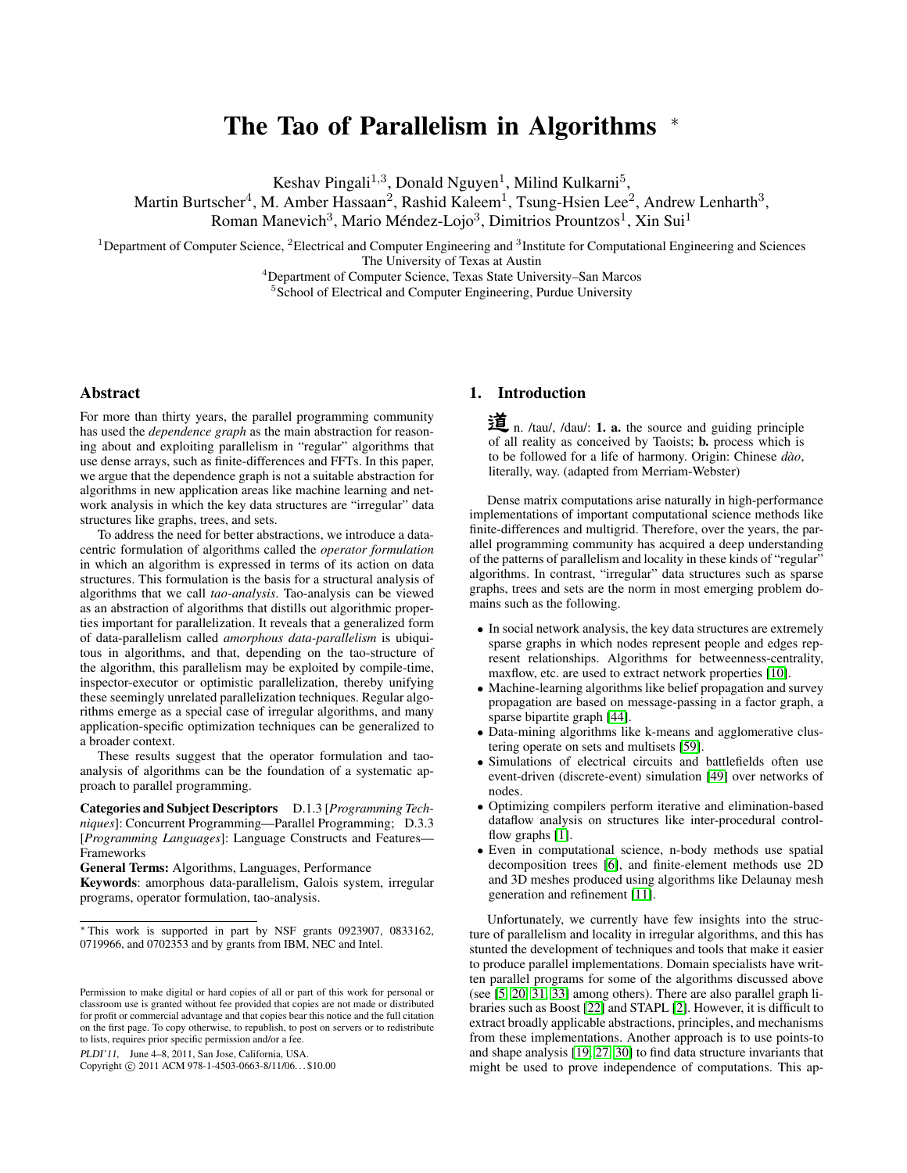# The Tao of Parallelism in Algorithms <sup>∗</sup>

Keshav Pingali<sup>1,3</sup>, Donald Nguyen<sup>1</sup>, Milind Kulkarni<sup>5</sup>,

Martin Burtscher<sup>4</sup>, M. Amber Hassaan<sup>2</sup>, Rashid Kaleem<sup>1</sup>, Tsung-Hsien Lee<sup>2</sup>, Andrew Lenharth<sup>3</sup>,

Roman Manevich<sup>3</sup>, Mario Méndez-Lojo<sup>3</sup>, Dimitrios Prountzos<sup>1</sup>, Xin Sui<sup>1</sup>

<sup>1</sup>Department of Computer Science, <sup>2</sup>Electrical and Computer Engineering and <sup>3</sup>Institute for Computational Engineering and Sciences The University of Texas at Austin

<sup>4</sup>Department of Computer Science, Texas State University–San Marcos 5 School of Electrical and Computer Engineering, Purdue University

## Abstract

For more than thirty years, the parallel programming community has used the *dependence graph* as the main abstraction for reasoning about and exploiting parallelism in "regular" algorithms that use dense arrays, such as finite-differences and FFTs. In this paper, we argue that the dependence graph is not a suitable abstraction for algorithms in new application areas like machine learning and network analysis in which the key data structures are "irregular" data structures like graphs, trees, and sets.

To address the need for better abstractions, we introduce a datacentric formulation of algorithms called the *operator formulation* in which an algorithm is expressed in terms of its action on data structures. This formulation is the basis for a structural analysis of algorithms that we call *tao-analysis*. Tao-analysis can be viewed as an abstraction of algorithms that distills out algorithmic properties important for parallelization. It reveals that a generalized form of data-parallelism called *amorphous data-parallelism* is ubiquitous in algorithms, and that, depending on the tao-structure of the algorithm, this parallelism may be exploited by compile-time, inspector-executor or optimistic parallelization, thereby unifying these seemingly unrelated parallelization techniques. Regular algorithms emerge as a special case of irregular algorithms, and many application-specific optimization techniques can be generalized to a broader context.

These results suggest that the operator formulation and taoanalysis of algorithms can be the foundation of a systematic approach to parallel programming.

Categories and Subject Descriptors D.1.3 [*Programming Techniques*]: Concurrent Programming—Parallel Programming; D.3.3 [*Programming Languages*]: Language Constructs and Features— Frameworks

General Terms: Algorithms, Languages, Performance Keywords: amorphous data-parallelism, Galois system, irregular programs, operator formulation, tao-analysis.

PLDI'11, June 4–8, 2011, San Jose, California, USA.

Copyright © 2011 ACM 978-1-4503-0663-8/11/06... \$10.00

## 1. Introduction

 $\mathbf{H}$  n. /tau/, /dau/: 1. a. the source and guiding principle of all reality as conceived by Taoists; b. process which is to be followed for a life of harmony. Origin: Chinese  $d\partial\omega$ , literally, way. (adapted from Merriam-Webster)

Dense matrix computations arise naturally in high-performance implementations of important computational science methods like finite-differences and multigrid. Therefore, over the years, the parallel programming community has acquired a deep understanding of the patterns of parallelism and locality in these kinds of "regular" algorithms. In contrast, "irregular" data structures such as sparse graphs, trees and sets are the norm in most emerging problem domains such as the following.

- In social network analysis, the key data structures are extremely sparse graphs in which nodes represent people and edges represent relationships. Algorithms for betweenness-centrality, maxflow, etc. are used to extract network properties [\[10\]](#page-13-0).
- Machine-learning algorithms like belief propagation and survey propagation are based on message-passing in a factor graph, a sparse bipartite graph [\[44\]](#page-13-1).
- Data-mining algorithms like k-means and agglomerative clustering operate on sets and multisets [\[59\]](#page-13-2).
- Simulations of electrical circuits and battlefields often use event-driven (discrete-event) simulation [\[49\]](#page-13-3) over networks of nodes.
- Optimizing compilers perform iterative and elimination-based dataflow analysis on structures like inter-procedural control-flow graphs [\[1\]](#page-12-0).
- Even in computational science, n-body methods use spatial decomposition trees [\[6\]](#page-12-1), and finite-element methods use 2D and 3D meshes produced using algorithms like Delaunay mesh generation and refinement [\[11\]](#page-13-4).

Unfortunately, we currently have few insights into the structure of parallelism and locality in irregular algorithms, and this has stunted the development of techniques and tools that make it easier to produce parallel implementations. Domain specialists have written parallel programs for some of the algorithms discussed above (see [\[5,](#page-12-2) [20,](#page-13-5) [31,](#page-13-6) [33\]](#page-13-7) among others). There are also parallel graph libraries such as Boost [\[22\]](#page-13-8) and STAPL [\[2\]](#page-12-3). However, it is difficult to extract broadly applicable abstractions, principles, and mechanisms from these implementations. Another approach is to use points-to and shape analysis [\[19,](#page-13-9) [27,](#page-13-10) [30\]](#page-13-11) to find data structure invariants that might be used to prove independence of computations. This ap-

<sup>∗</sup> This work is supported in part by NSF grants 0923907, 0833162, 0719966, and 0702353 and by grants from IBM, NEC and Intel.

Permission to make digital or hard copies of all or part of this work for personal or classroom use is granted without fee provided that copies are not made or distributed for profit or commercial advantage and that copies bear this notice and the full citation on the first page. To copy otherwise, to republish, to post on servers or to redistribute to lists, requires prior specific permission and/or a fee.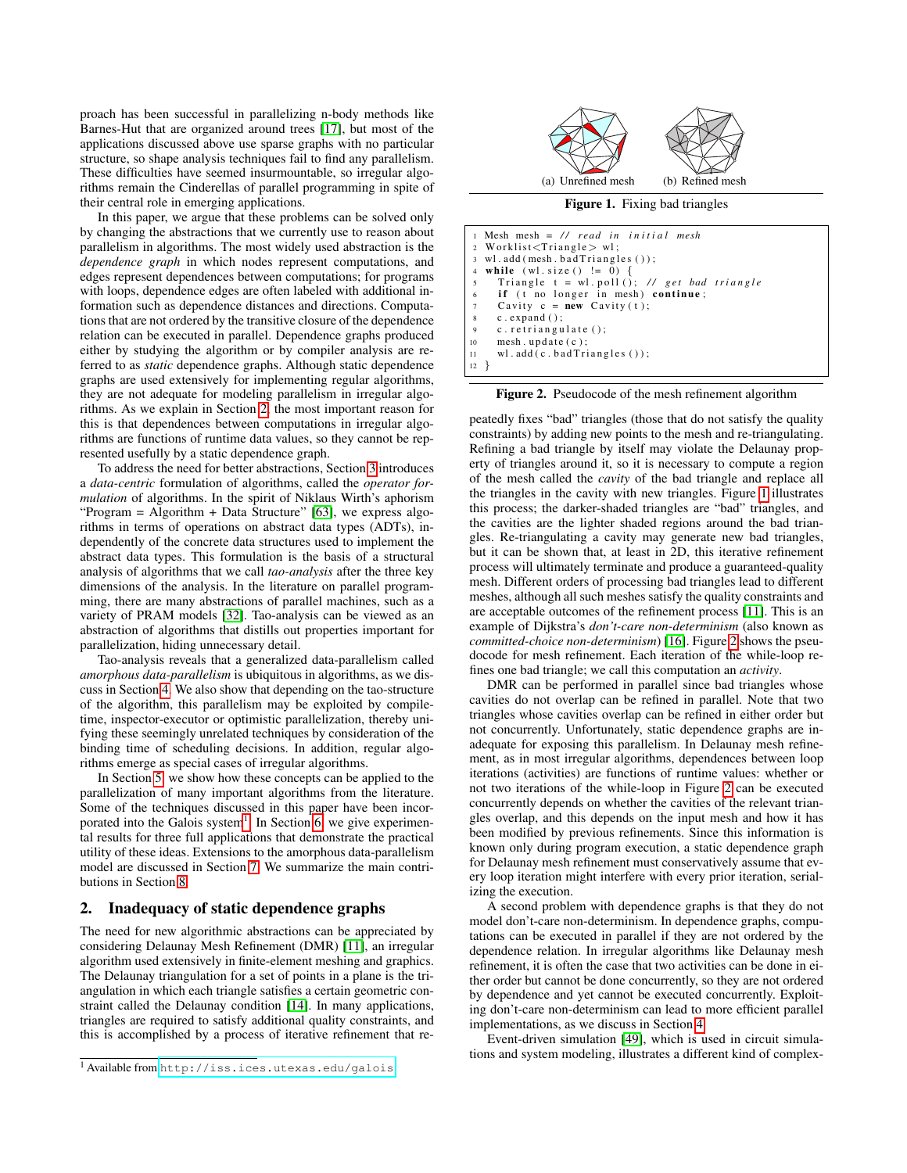proach has been successful in parallelizing n-body methods like Barnes-Hut that are organized around trees [\[17\]](#page-13-12), but most of the applications discussed above use sparse graphs with no particular structure, so shape analysis techniques fail to find any parallelism. These difficulties have seemed insurmountable, so irregular algorithms remain the Cinderellas of parallel programming in spite of their central role in emerging applications.

In this paper, we argue that these problems can be solved only by changing the abstractions that we currently use to reason about parallelism in algorithms. The most widely used abstraction is the *dependence graph* in which nodes represent computations, and edges represent dependences between computations; for programs with loops, dependence edges are often labeled with additional information such as dependence distances and directions. Computations that are not ordered by the transitive closure of the dependence relation can be executed in parallel. Dependence graphs produced either by studying the algorithm or by compiler analysis are referred to as *static* dependence graphs. Although static dependence graphs are used extensively for implementing regular algorithms, they are not adequate for modeling parallelism in irregular algorithms. As we explain in Section [2,](#page-1-0) the most important reason for this is that dependences between computations in irregular algorithms are functions of runtime data values, so they cannot be represented usefully by a static dependence graph.

To address the need for better abstractions, Section [3](#page-2-0) introduces a *data-centric* formulation of algorithms, called the *operator formulation* of algorithms. In the spirit of Niklaus Wirth's aphorism "Program  $=$  Algorithm  $+$  Data Structure" [\[63\]](#page-13-13), we express algorithms in terms of operations on abstract data types (ADTs), independently of the concrete data structures used to implement the abstract data types. This formulation is the basis of a structural analysis of algorithms that we call *tao-analysis* after the three key dimensions of the analysis. In the literature on parallel programming, there are many abstractions of parallel machines, such as a variety of PRAM models [\[32\]](#page-13-14). Tao-analysis can be viewed as an abstraction of algorithms that distills out properties important for parallelization, hiding unnecessary detail.

Tao-analysis reveals that a generalized data-parallelism called *amorphous data-parallelism* is ubiquitous in algorithms, as we discuss in Section [4.](#page-4-0) We also show that depending on the tao-structure of the algorithm, this parallelism may be exploited by compiletime, inspector-executor or optimistic parallelization, thereby unifying these seemingly unrelated techniques by consideration of the binding time of scheduling decisions. In addition, regular algorithms emerge as special cases of irregular algorithms.

In Section [5,](#page-7-0) we show how these concepts can be applied to the parallelization of many important algorithms from the literature. Some of the techniques discussed in this paper have been incor-porated into the Galois system<sup>[1](#page-1-1)</sup>. In Section [6,](#page-10-0) we give experimental results for three full applications that demonstrate the practical utility of these ideas. Extensions to the amorphous data-parallelism model are discussed in Section [7.](#page-11-0) We summarize the main contributions in Section [8.](#page-12-4)

## <span id="page-1-0"></span>2. Inadequacy of static dependence graphs

The need for new algorithmic abstractions can be appreciated by considering Delaunay Mesh Refinement (DMR) [\[11\]](#page-13-4), an irregular algorithm used extensively in finite-element meshing and graphics. The Delaunay triangulation for a set of points in a plane is the triangulation in which each triangle satisfies a certain geometric constraint called the Delaunay condition [\[14\]](#page-13-15). In many applications, triangles are required to satisfy additional quality constraints, and this is accomplished by a process of iterative refinement that re-

<span id="page-1-2"></span>

Figure 1. Fixing bad triangles

|                | $1$ Mesh mesh = // read in initial mesh         |
|----------------|-------------------------------------------------|
|                | 2 Worklist $\langle$ Triangle $\rangle$ wl;     |
|                | 3 wl.add(mesh.badTriangles());                  |
|                | 4 while (wl. size () $!= 0$ ) {                 |
| 5              | Triangle $t = w1$ . poll(); // get bad triangle |
| 6              | if (t no longer in mesh) continue;              |
| $\tau$         | Cavity $c = new Cavity(t);$                     |
| 8              | $c. expand()$ :                                 |
| $\overline{9}$ | $c.$ retriangulate $()$ :                       |
| 10             | $mesh.\update(c);$                              |
| 11             | $wl.add(c.\text{badTriangle}($                  |
| 12             |                                                 |
|                |                                                 |

<span id="page-1-3"></span>Figure 2. Pseudocode of the mesh refinement algorithm

peatedly fixes "bad" triangles (those that do not satisfy the quality constraints) by adding new points to the mesh and re-triangulating. Refining a bad triangle by itself may violate the Delaunay property of triangles around it, so it is necessary to compute a region of the mesh called the *cavity* of the bad triangle and replace all the triangles in the cavity with new triangles. Figure [1](#page-1-2) illustrates this process; the darker-shaded triangles are "bad" triangles, and the cavities are the lighter shaded regions around the bad triangles. Re-triangulating a cavity may generate new bad triangles, but it can be shown that, at least in 2D, this iterative refinement process will ultimately terminate and produce a guaranteed-quality mesh. Different orders of processing bad triangles lead to different meshes, although all such meshes satisfy the quality constraints and are acceptable outcomes of the refinement process [\[11\]](#page-13-4). This is an example of Dijkstra's *don't-care non-determinism* (also known as *committed-choice non-determinism*) [\[16\]](#page-13-16). Figure [2](#page-1-3) shows the pseudocode for mesh refinement. Each iteration of the while-loop refines one bad triangle; we call this computation an *activity*.

DMR can be performed in parallel since bad triangles whose cavities do not overlap can be refined in parallel. Note that two triangles whose cavities overlap can be refined in either order but not concurrently. Unfortunately, static dependence graphs are inadequate for exposing this parallelism. In Delaunay mesh refinement, as in most irregular algorithms, dependences between loop iterations (activities) are functions of runtime values: whether or not two iterations of the while-loop in Figure [2](#page-1-3) can be executed concurrently depends on whether the cavities of the relevant triangles overlap, and this depends on the input mesh and how it has been modified by previous refinements. Since this information is known only during program execution, a static dependence graph for Delaunay mesh refinement must conservatively assume that every loop iteration might interfere with every prior iteration, serializing the execution.

A second problem with dependence graphs is that they do not model don't-care non-determinism. In dependence graphs, computations can be executed in parallel if they are not ordered by the dependence relation. In irregular algorithms like Delaunay mesh refinement, it is often the case that two activities can be done in either order but cannot be done concurrently, so they are not ordered by dependence and yet cannot be executed concurrently. Exploiting don't-care non-determinism can lead to more efficient parallel implementations, as we discuss in Section [4.](#page-4-0)

Event-driven simulation [\[49\]](#page-13-3), which is used in circuit simulations and system modeling, illustrates a different kind of complex-

<span id="page-1-1"></span><sup>1</sup> Available from <http://iss.ices.utexas.edu/galois>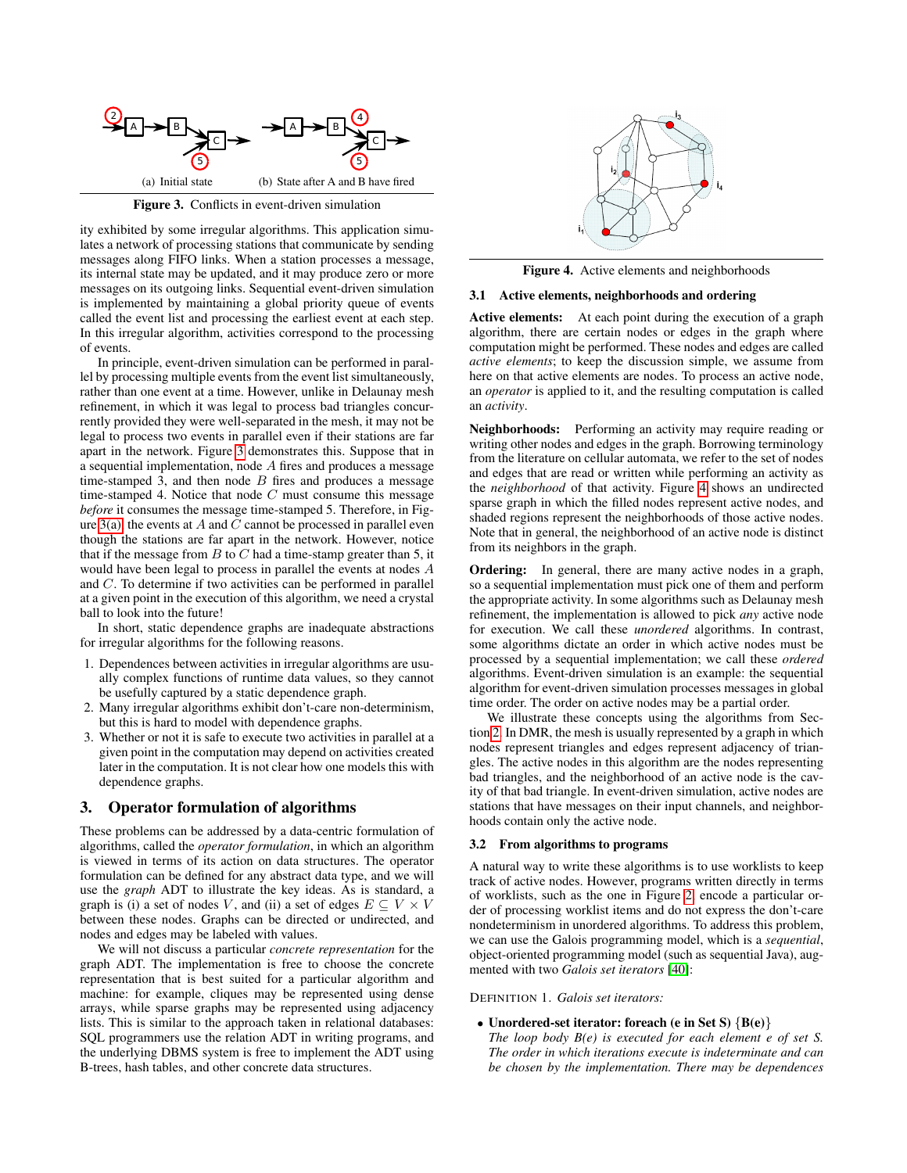<span id="page-2-2"></span>

<span id="page-2-1"></span>Figure 3. Conflicts in event-driven simulation

ity exhibited by some irregular algorithms. This application simulates a network of processing stations that communicate by sending messages along FIFO links. When a station processes a message, its internal state may be updated, and it may produce zero or more messages on its outgoing links. Sequential event-driven simulation is implemented by maintaining a global priority queue of events called the event list and processing the earliest event at each step. In this irregular algorithm, activities correspond to the processing of events.

In principle, event-driven simulation can be performed in parallel by processing multiple events from the event list simultaneously, rather than one event at a time. However, unlike in Delaunay mesh refinement, in which it was legal to process bad triangles concurrently provided they were well-separated in the mesh, it may not be legal to process two events in parallel even if their stations are far apart in the network. Figure [3](#page-2-1) demonstrates this. Suppose that in a sequential implementation, node A fires and produces a message time-stamped 3, and then node  $B$  fires and produces a message time-stamped 4. Notice that node  $C$  must consume this message *before* it consumes the message time-stamped 5. Therefore, in Figure  $3(a)$ , the events at A and C cannot be processed in parallel even though the stations are far apart in the network. However, notice that if the message from  $B$  to  $C$  had a time-stamp greater than 5, it would have been legal to process in parallel the events at nodes A and C. To determine if two activities can be performed in parallel at a given point in the execution of this algorithm, we need a crystal ball to look into the future!

In short, static dependence graphs are inadequate abstractions for irregular algorithms for the following reasons.

- 1. Dependences between activities in irregular algorithms are usually complex functions of runtime data values, so they cannot be usefully captured by a static dependence graph.
- 2. Many irregular algorithms exhibit don't-care non-determinism, but this is hard to model with dependence graphs.
- 3. Whether or not it is safe to execute two activities in parallel at a given point in the computation may depend on activities created later in the computation. It is not clear how one models this with dependence graphs.

#### <span id="page-2-0"></span>3. Operator formulation of algorithms

These problems can be addressed by a data-centric formulation of algorithms, called the *operator formulation*, in which an algorithm is viewed in terms of its action on data structures. The operator formulation can be defined for any abstract data type, and we will use the *graph* ADT to illustrate the key ideas. As is standard, a graph is (i) a set of nodes V, and (ii) a set of edges  $E \subseteq V \times V$ between these nodes. Graphs can be directed or undirected, and nodes and edges may be labeled with values.

We will not discuss a particular *concrete representation* for the graph ADT. The implementation is free to choose the concrete representation that is best suited for a particular algorithm and machine: for example, cliques may be represented using dense arrays, while sparse graphs may be represented using adjacency lists. This is similar to the approach taken in relational databases: SQL programmers use the relation ADT in writing programs, and the underlying DBMS system is free to implement the ADT using B-trees, hash tables, and other concrete data structures.



<span id="page-2-3"></span>Figure 4. Active elements and neighborhoods

#### 3.1 Active elements, neighborhoods and ordering

Active elements: At each point during the execution of a graph algorithm, there are certain nodes or edges in the graph where computation might be performed. These nodes and edges are called *active elements*; to keep the discussion simple, we assume from here on that active elements are nodes. To process an active node, an *operator* is applied to it, and the resulting computation is called an *activity*.

Neighborhoods: Performing an activity may require reading or writing other nodes and edges in the graph. Borrowing terminology from the literature on cellular automata, we refer to the set of nodes and edges that are read or written while performing an activity as the *neighborhood* of that activity. Figure [4](#page-2-3) shows an undirected sparse graph in which the filled nodes represent active nodes, and shaded regions represent the neighborhoods of those active nodes. Note that in general, the neighborhood of an active node is distinct from its neighbors in the graph.

Ordering: In general, there are many active nodes in a graph, so a sequential implementation must pick one of them and perform the appropriate activity. In some algorithms such as Delaunay mesh refinement, the implementation is allowed to pick *any* active node for execution. We call these *unordered* algorithms. In contrast, some algorithms dictate an order in which active nodes must be processed by a sequential implementation; we call these *ordered* algorithms. Event-driven simulation is an example: the sequential algorithm for event-driven simulation processes messages in global time order. The order on active nodes may be a partial order.

We illustrate these concepts using the algorithms from Section [2.](#page-1-0) In DMR, the mesh is usually represented by a graph in which nodes represent triangles and edges represent adjacency of triangles. The active nodes in this algorithm are the nodes representing bad triangles, and the neighborhood of an active node is the cavity of that bad triangle. In event-driven simulation, active nodes are stations that have messages on their input channels, and neighborhoods contain only the active node.

#### 3.2 From algorithms to programs

A natural way to write these algorithms is to use worklists to keep track of active nodes. However, programs written directly in terms of worklists, such as the one in Figure [2,](#page-1-3) encode a particular order of processing worklist items and do not express the don't-care nondeterminism in unordered algorithms. To address this problem, we can use the Galois programming model, which is a *sequential*, object-oriented programming model (such as sequential Java), augmented with two *Galois set iterators* [\[40\]](#page-13-17):

DEFINITION 1. *Galois set iterators:*

- Unordered-set iterator: foreach (e in Set S)  ${B(e)}$
- *The loop body B(e) is executed for each element e of set S. The order in which iterations execute is indeterminate and can be chosen by the implementation. There may be dependences*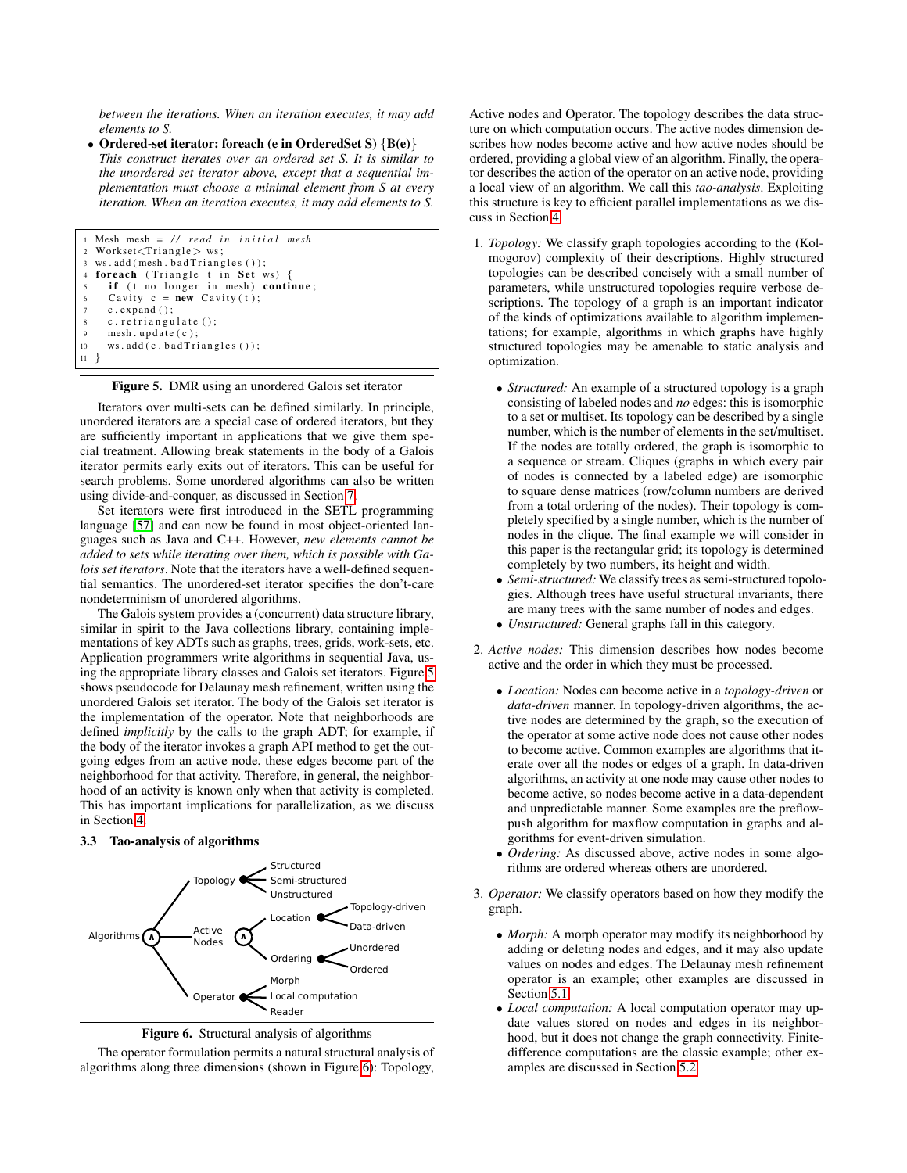*between the iterations. When an iteration executes, it may add elements to S.*

• Ordered-set iterator: foreach (e in OrderedSet S)  ${B(e)}$ *This construct iterates over an ordered set S. It is similar to the unordered set iterator above, except that a sequential implementation must choose a minimal element from S at every iteration. When an iteration executes, it may add elements to S.*

```
Mesh mesh = // read in initial mesh
2 Workset\langle Triangle ws;
3 ws.add (mesh.badTriangles());
4 foreach (Triangle t in Set ws) \cdot5 if (t no longer in mesh) continue;
6 Cavity c = new Cavity(t);c. expand ( );8 c. retriangulate ();
9 mesh . undate (c) :
10 ws. add (c. bad Triangles ());
11 }
```
<span id="page-3-0"></span>Figure 5. DMR using an unordered Galois set iterator

Iterators over multi-sets can be defined similarly. In principle, unordered iterators are a special case of ordered iterators, but they are sufficiently important in applications that we give them special treatment. Allowing break statements in the body of a Galois iterator permits early exits out of iterators. This can be useful for search problems. Some unordered algorithms can also be written using divide-and-conquer, as discussed in Section [7.](#page-11-0)

Set iterators were first introduced in the SETL programming language [\[57\]](#page-13-18) and can now be found in most object-oriented languages such as Java and C++. However, *new elements cannot be added to sets while iterating over them, which is possible with Galois set iterators*. Note that the iterators have a well-defined sequential semantics. The unordered-set iterator specifies the don't-care nondeterminism of unordered algorithms.

The Galois system provides a (concurrent) data structure library, similar in spirit to the Java collections library, containing implementations of key ADTs such as graphs, trees, grids, work-sets, etc. Application programmers write algorithms in sequential Java, using the appropriate library classes and Galois set iterators. Figure [5](#page-3-0) shows pseudocode for Delaunay mesh refinement, written using the unordered Galois set iterator. The body of the Galois set iterator is the implementation of the operator. Note that neighborhoods are defined *implicitly* by the calls to the graph ADT; for example, if the body of the iterator invokes a graph API method to get the outgoing edges from an active node, these edges become part of the neighborhood for that activity. Therefore, in general, the neighborhood of an activity is known only when that activity is completed. This has important implications for parallelization, as we discuss in Section [4.](#page-4-0)

#### 3.3 Tao-analysis of algorithms



<span id="page-3-1"></span>

The operator formulation permits a natural structural analysis of algorithms along three dimensions (shown in Figure [6\)](#page-3-1): Topology,

Active nodes and Operator. The topology describes the data structure on which computation occurs. The active nodes dimension describes how nodes become active and how active nodes should be ordered, providing a global view of an algorithm. Finally, the operator describes the action of the operator on an active node, providing a local view of an algorithm. We call this *tao-analysis*. Exploiting this structure is key to efficient parallel implementations as we discuss in Section [4.](#page-4-0)

- 1. *Topology:* We classify graph topologies according to the (Kolmogorov) complexity of their descriptions. Highly structured topologies can be described concisely with a small number of parameters, while unstructured topologies require verbose descriptions. The topology of a graph is an important indicator of the kinds of optimizations available to algorithm implementations; for example, algorithms in which graphs have highly structured topologies may be amenable to static analysis and optimization.
	- *Structured:* An example of a structured topology is a graph consisting of labeled nodes and *no* edges: this is isomorphic to a set or multiset. Its topology can be described by a single number, which is the number of elements in the set/multiset. If the nodes are totally ordered, the graph is isomorphic to a sequence or stream. Cliques (graphs in which every pair of nodes is connected by a labeled edge) are isomorphic to square dense matrices (row/column numbers are derived from a total ordering of the nodes). Their topology is completely specified by a single number, which is the number of nodes in the clique. The final example we will consider in this paper is the rectangular grid; its topology is determined completely by two numbers, its height and width.
	- *Semi-structured:* We classify trees as semi-structured topologies. Although trees have useful structural invariants, there are many trees with the same number of nodes and edges.
	- *Unstructured:* General graphs fall in this category.
- 2. *Active nodes:* This dimension describes how nodes become active and the order in which they must be processed.
	- *Location:* Nodes can become active in a *topology-driven* or *data-driven* manner. In topology-driven algorithms, the active nodes are determined by the graph, so the execution of the operator at some active node does not cause other nodes to become active. Common examples are algorithms that iterate over all the nodes or edges of a graph. In data-driven algorithms, an activity at one node may cause other nodes to become active, so nodes become active in a data-dependent and unpredictable manner. Some examples are the preflowpush algorithm for maxflow computation in graphs and algorithms for event-driven simulation.
	- *Ordering:* As discussed above, active nodes in some algorithms are ordered whereas others are unordered.
- 3. *Operator:* We classify operators based on how they modify the graph.
	- *Morph*: A morph operator may modify its neighborhood by adding or deleting nodes and edges, and it may also update values on nodes and edges. The Delaunay mesh refinement operator is an example; other examples are discussed in Section [5.1.](#page-7-1)
	- *Local computation:* A local computation operator may update values stored on nodes and edges in its neighborhood, but it does not change the graph connectivity. Finitedifference computations are the classic example; other examples are discussed in Section [5.2.](#page-9-0)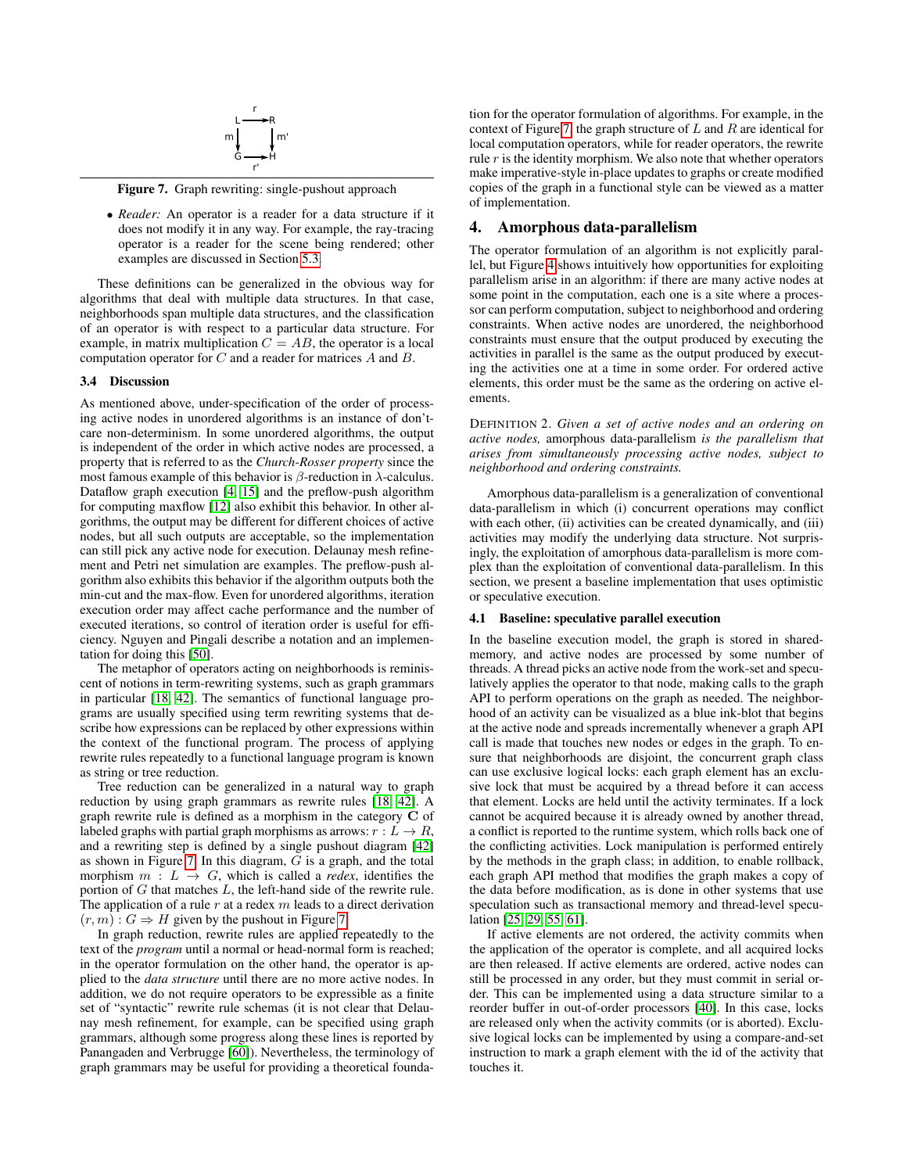

<span id="page-4-1"></span>Figure 7. Graph rewriting: single-pushout approach

• *Reader:* An operator is a reader for a data structure if it does not modify it in any way. For example, the ray-tracing operator is a reader for the scene being rendered; other examples are discussed in Section [5.3.](#page-10-1)

These definitions can be generalized in the obvious way for algorithms that deal with multiple data structures. In that case, neighborhoods span multiple data structures, and the classification of an operator is with respect to a particular data structure. For example, in matrix multiplication  $C = AB$ , the operator is a local computation operator for C and a reader for matrices A and B.

#### 3.4 Discussion

As mentioned above, under-specification of the order of processing active nodes in unordered algorithms is an instance of don'tcare non-determinism. In some unordered algorithms, the output is independent of the order in which active nodes are processed, a property that is referred to as the *Church-Rosser property* since the most famous example of this behavior is  $\beta$ -reduction in  $\lambda$ -calculus. Dataflow graph execution [\[4,](#page-12-5) [15\]](#page-13-19) and the preflow-push algorithm for computing maxflow [\[12\]](#page-13-20) also exhibit this behavior. In other algorithms, the output may be different for different choices of active nodes, but all such outputs are acceptable, so the implementation can still pick any active node for execution. Delaunay mesh refinement and Petri net simulation are examples. The preflow-push algorithm also exhibits this behavior if the algorithm outputs both the min-cut and the max-flow. Even for unordered algorithms, iteration execution order may affect cache performance and the number of executed iterations, so control of iteration order is useful for efficiency. Nguyen and Pingali describe a notation and an implementation for doing this [\[50\]](#page-13-21).

The metaphor of operators acting on neighborhoods is reminiscent of notions in term-rewriting systems, such as graph grammars in particular [\[18,](#page-13-22) [42\]](#page-13-23). The semantics of functional language programs are usually specified using term rewriting systems that describe how expressions can be replaced by other expressions within the context of the functional program. The process of applying rewrite rules repeatedly to a functional language program is known as string or tree reduction.

Tree reduction can be generalized in a natural way to graph reduction by using graph grammars as rewrite rules [\[18,](#page-13-22) [42\]](#page-13-23). A graph rewrite rule is defined as a morphism in the category C of labeled graphs with partial graph morphisms as arrows:  $r: L \rightarrow R$ , and a rewriting step is defined by a single pushout diagram [\[42\]](#page-13-23) as shown in Figure [7.](#page-4-1) In this diagram,  $G$  is a graph, and the total morphism  $m: L \rightarrow G$ , which is called a *redex*, identifies the portion of G that matches L, the left-hand side of the rewrite rule. The application of a rule  $r$  at a redex  $m$  leads to a direct derivation  $(r, m)$ :  $G \Rightarrow H$  given by the pushout in Figure [7.](#page-4-1)

In graph reduction, rewrite rules are applied repeatedly to the text of the *program* until a normal or head-normal form is reached; in the operator formulation on the other hand, the operator is applied to the *data structure* until there are no more active nodes. In addition, we do not require operators to be expressible as a finite set of "syntactic" rewrite rule schemas (it is not clear that Delaunay mesh refinement, for example, can be specified using graph grammars, although some progress along these lines is reported by Panangaden and Verbrugge [\[60\]](#page-13-24)). Nevertheless, the terminology of graph grammars may be useful for providing a theoretical foundation for the operator formulation of algorithms. For example, in the context of Figure [7,](#page-4-1) the graph structure of  $L$  and  $R$  are identical for local computation operators, while for reader operators, the rewrite rule  $r$  is the identity morphism. We also note that whether operators make imperative-style in-place updates to graphs or create modified copies of the graph in a functional style can be viewed as a matter of implementation.

## <span id="page-4-0"></span>4. Amorphous data-parallelism

The operator formulation of an algorithm is not explicitly parallel, but Figure [4](#page-2-3) shows intuitively how opportunities for exploiting parallelism arise in an algorithm: if there are many active nodes at some point in the computation, each one is a site where a processor can perform computation, subject to neighborhood and ordering constraints. When active nodes are unordered, the neighborhood constraints must ensure that the output produced by executing the activities in parallel is the same as the output produced by executing the activities one at a time in some order. For ordered active elements, this order must be the same as the ordering on active elements.

DEFINITION 2. *Given a set of active nodes and an ordering on active nodes,* amorphous data-parallelism *is the parallelism that arises from simultaneously processing active nodes, subject to neighborhood and ordering constraints.*

Amorphous data-parallelism is a generalization of conventional data-parallelism in which (i) concurrent operations may conflict with each other, (ii) activities can be created dynamically, and (iii) activities may modify the underlying data structure. Not surprisingly, the exploitation of amorphous data-parallelism is more complex than the exploitation of conventional data-parallelism. In this section, we present a baseline implementation that uses optimistic or speculative execution.

## <span id="page-4-2"></span>4.1 Baseline: speculative parallel execution

In the baseline execution model, the graph is stored in sharedmemory, and active nodes are processed by some number of threads. A thread picks an active node from the work-set and speculatively applies the operator to that node, making calls to the graph API to perform operations on the graph as needed. The neighborhood of an activity can be visualized as a blue ink-blot that begins at the active node and spreads incrementally whenever a graph API call is made that touches new nodes or edges in the graph. To ensure that neighborhoods are disjoint, the concurrent graph class can use exclusive logical locks: each graph element has an exclusive lock that must be acquired by a thread before it can access that element. Locks are held until the activity terminates. If a lock cannot be acquired because it is already owned by another thread, a conflict is reported to the runtime system, which rolls back one of the conflicting activities. Lock manipulation is performed entirely by the methods in the graph class; in addition, to enable rollback, each graph API method that modifies the graph makes a copy of the data before modification, as is done in other systems that use speculation such as transactional memory and thread-level speculation [\[25,](#page-13-25) [29,](#page-13-26) [55,](#page-13-27) [61\]](#page-13-28).

If active elements are not ordered, the activity commits when the application of the operator is complete, and all acquired locks are then released. If active elements are ordered, active nodes can still be processed in any order, but they must commit in serial order. This can be implemented using a data structure similar to a reorder buffer in out-of-order processors [\[40\]](#page-13-17). In this case, locks are released only when the activity commits (or is aborted). Exclusive logical locks can be implemented by using a compare-and-set instruction to mark a graph element with the id of the activity that touches it.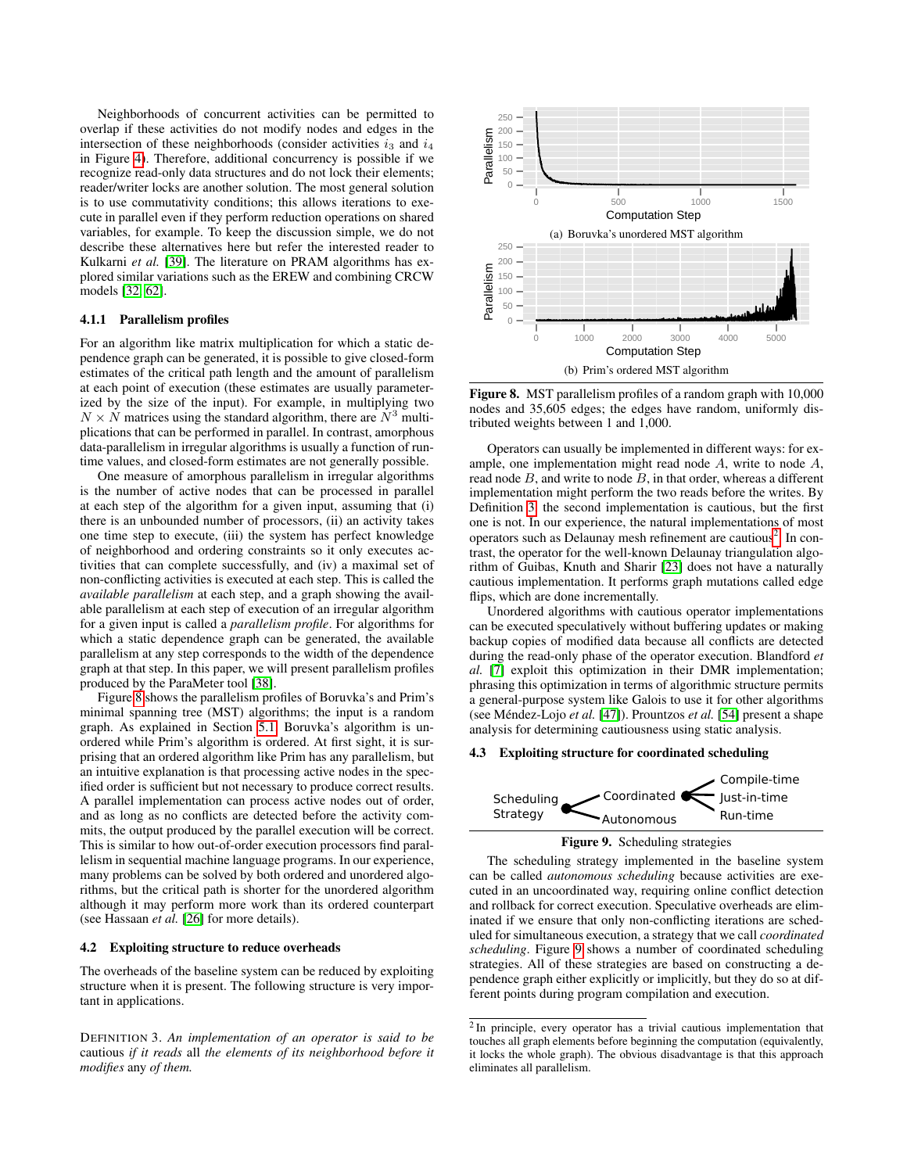Neighborhoods of concurrent activities can be permitted to overlap if these activities do not modify nodes and edges in the intersection of these neighborhoods (consider activities  $i_3$  and  $i_4$ in Figure [4\)](#page-2-3). Therefore, additional concurrency is possible if we recognize read-only data structures and do not lock their elements; reader/writer locks are another solution. The most general solution is to use commutativity conditions; this allows iterations to execute in parallel even if they perform reduction operations on shared variables, for example. To keep the discussion simple, we do not describe these alternatives here but refer the interested reader to Kulkarni *et al.* [\[39\]](#page-13-29). The literature on PRAM algorithms has explored similar variations such as the EREW and combining CRCW models [\[32,](#page-13-14) [62\]](#page-13-30).

#### 4.1.1 Parallelism profiles

For an algorithm like matrix multiplication for which a static dependence graph can be generated, it is possible to give closed-form estimates of the critical path length and the amount of parallelism at each point of execution (these estimates are usually parameterized by the size of the input). For example, in multiplying two  $N \times N$  matrices using the standard algorithm, there are  $N^3$  multiplications that can be performed in parallel. In contrast, amorphous data-parallelism in irregular algorithms is usually a function of runtime values, and closed-form estimates are not generally possible.

One measure of amorphous parallelism in irregular algorithms is the number of active nodes that can be processed in parallel at each step of the algorithm for a given input, assuming that (i) there is an unbounded number of processors, (ii) an activity takes one time step to execute, (iii) the system has perfect knowledge of neighborhood and ordering constraints so it only executes activities that can complete successfully, and (iv) a maximal set of non-conflicting activities is executed at each step. This is called the *available parallelism* at each step, and a graph showing the available parallelism at each step of execution of an irregular algorithm for a given input is called a *parallelism profile*. For algorithms for which a static dependence graph can be generated, the available parallelism at any step corresponds to the width of the dependence graph at that step. In this paper, we will present parallelism profiles produced by the ParaMeter tool [\[38\]](#page-13-31).

Figure [8](#page-5-0) shows the parallelism profiles of Boruvka's and Prim's minimal spanning tree (MST) algorithms; the input is a random graph. As explained in Section [5.1,](#page-7-1) Boruvka's algorithm is unordered while Prim's algorithm is ordered. At first sight, it is surprising that an ordered algorithm like Prim has any parallelism, but an intuitive explanation is that processing active nodes in the specified order is sufficient but not necessary to produce correct results. A parallel implementation can process active nodes out of order, and as long as no conflicts are detected before the activity commits, the output produced by the parallel execution will be correct. This is similar to how out-of-order execution processors find parallelism in sequential machine language programs. In our experience, many problems can be solved by both ordered and unordered algorithms, but the critical path is shorter for the unordered algorithm although it may perform more work than its ordered counterpart (see Hassaan *et al.* [\[26\]](#page-13-32) for more details).

#### 4.2 Exploiting structure to reduce overheads

The overheads of the baseline system can be reduced by exploiting structure when it is present. The following structure is very important in applications.

<span id="page-5-1"></span>DEFINITION 3. *An implementation of an operator is said to be* cautious *if it reads* all *the elements of its neighborhood before it modifies* any *of them.*

<span id="page-5-5"></span>

<span id="page-5-4"></span><span id="page-5-0"></span>Figure 8. MST parallelism profiles of a random graph with 10,000 nodes and 35,605 edges; the edges have random, uniformly distributed weights between 1 and 1,000.

Operators can usually be implemented in different ways: for example, one implementation might read node A, write to node A, read node  $B$ , and write to node  $B$ , in that order, whereas a different implementation might perform the two reads before the writes. By Definition [3,](#page-5-1) the second implementation is cautious, but the first one is not. In our experience, the natural implementations of most operators such as Delaunay mesh refinement are cautious<sup>[2](#page-5-2)</sup>. In contrast, the operator for the well-known Delaunay triangulation algorithm of Guibas, Knuth and Sharir [\[23\]](#page-13-33) does not have a naturally cautious implementation. It performs graph mutations called edge flips, which are done incrementally.

Unordered algorithms with cautious operator implementations can be executed speculatively without buffering updates or making backup copies of modified data because all conflicts are detected during the read-only phase of the operator execution. Blandford *et al.* [\[7\]](#page-12-6) exploit this optimization in their DMR implementation; phrasing this optimization in terms of algorithmic structure permits a general-purpose system like Galois to use it for other algorithms (see Méndez-Lojo *et al.* [\[47\]](#page-13-34)). Prountzos *et al.* [\[54\]](#page-13-35) present a shape analysis for determining cautiousness using static analysis.

#### <span id="page-5-6"></span>4.3 Exploiting structure for coordinated scheduling



<span id="page-5-3"></span>Figure 9. Scheduling strategies

The scheduling strategy implemented in the baseline system can be called *autonomous scheduling* because activities are executed in an uncoordinated way, requiring online conflict detection and rollback for correct execution. Speculative overheads are eliminated if we ensure that only non-conflicting iterations are scheduled for simultaneous execution, a strategy that we call *coordinated scheduling*. Figure [9](#page-5-3) shows a number of coordinated scheduling strategies. All of these strategies are based on constructing a dependence graph either explicitly or implicitly, but they do so at different points during program compilation and execution.

<span id="page-5-2"></span> $2$ In principle, every operator has a trivial cautious implementation that touches all graph elements before beginning the computation (equivalently, it locks the whole graph). The obvious disadvantage is that this approach eliminates all parallelism.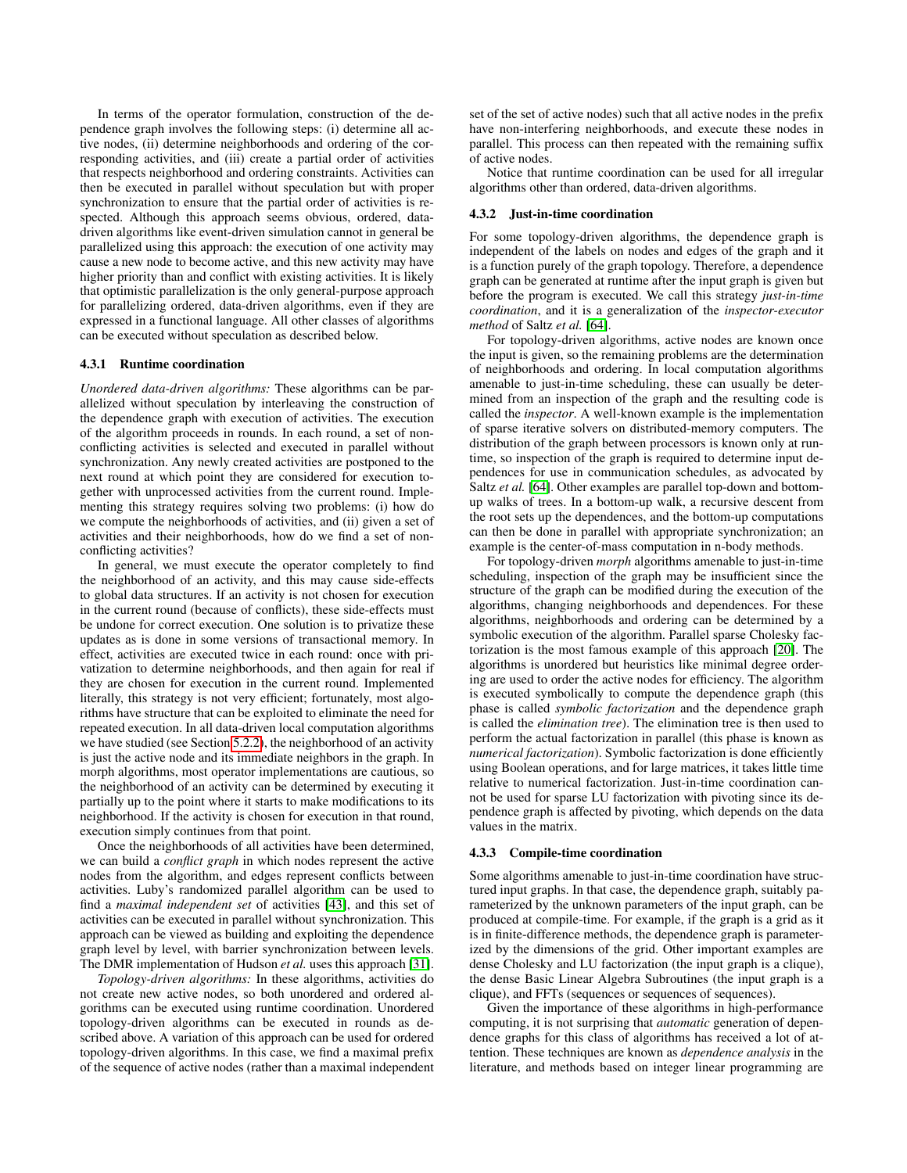In terms of the operator formulation, construction of the dependence graph involves the following steps: (i) determine all active nodes, (ii) determine neighborhoods and ordering of the corresponding activities, and (iii) create a partial order of activities that respects neighborhood and ordering constraints. Activities can then be executed in parallel without speculation but with proper synchronization to ensure that the partial order of activities is respected. Although this approach seems obvious, ordered, datadriven algorithms like event-driven simulation cannot in general be parallelized using this approach: the execution of one activity may cause a new node to become active, and this new activity may have higher priority than and conflict with existing activities. It is likely that optimistic parallelization is the only general-purpose approach for parallelizing ordered, data-driven algorithms, even if they are expressed in a functional language. All other classes of algorithms can be executed without speculation as described below.

#### 4.3.1 Runtime coordination

*Unordered data-driven algorithms:* These algorithms can be parallelized without speculation by interleaving the construction of the dependence graph with execution of activities. The execution of the algorithm proceeds in rounds. In each round, a set of nonconflicting activities is selected and executed in parallel without synchronization. Any newly created activities are postponed to the next round at which point they are considered for execution together with unprocessed activities from the current round. Implementing this strategy requires solving two problems: (i) how do we compute the neighborhoods of activities, and (ii) given a set of activities and their neighborhoods, how do we find a set of nonconflicting activities?

In general, we must execute the operator completely to find the neighborhood of an activity, and this may cause side-effects to global data structures. If an activity is not chosen for execution in the current round (because of conflicts), these side-effects must be undone for correct execution. One solution is to privatize these updates as is done in some versions of transactional memory. In effect, activities are executed twice in each round: once with privatization to determine neighborhoods, and then again for real if they are chosen for execution in the current round. Implemented literally, this strategy is not very efficient; fortunately, most algorithms have structure that can be exploited to eliminate the need for repeated execution. In all data-driven local computation algorithms we have studied (see Section [5.2.2\)](#page-9-1), the neighborhood of an activity is just the active node and its immediate neighbors in the graph. In morph algorithms, most operator implementations are cautious, so the neighborhood of an activity can be determined by executing it partially up to the point where it starts to make modifications to its neighborhood. If the activity is chosen for execution in that round, execution simply continues from that point.

Once the neighborhoods of all activities have been determined, we can build a *conflict graph* in which nodes represent the active nodes from the algorithm, and edges represent conflicts between activities. Luby's randomized parallel algorithm can be used to find a *maximal independent set* of activities [\[43\]](#page-13-36), and this set of activities can be executed in parallel without synchronization. This approach can be viewed as building and exploiting the dependence graph level by level, with barrier synchronization between levels. The DMR implementation of Hudson *et al.* uses this approach [\[31\]](#page-13-6).

*Topology-driven algorithms:* In these algorithms, activities do not create new active nodes, so both unordered and ordered algorithms can be executed using runtime coordination. Unordered topology-driven algorithms can be executed in rounds as described above. A variation of this approach can be used for ordered topology-driven algorithms. In this case, we find a maximal prefix of the sequence of active nodes (rather than a maximal independent

set of the set of active nodes) such that all active nodes in the prefix have non-interfering neighborhoods, and execute these nodes in parallel. This process can then repeated with the remaining suffix of active nodes.

Notice that runtime coordination can be used for all irregular algorithms other than ordered, data-driven algorithms.

#### 4.3.2 Just-in-time coordination

For some topology-driven algorithms, the dependence graph is independent of the labels on nodes and edges of the graph and it is a function purely of the graph topology. Therefore, a dependence graph can be generated at runtime after the input graph is given but before the program is executed. We call this strategy *just-in-time coordination*, and it is a generalization of the *inspector-executor method* of Saltz *et al.* [\[64\]](#page-13-37).

For topology-driven algorithms, active nodes are known once the input is given, so the remaining problems are the determination of neighborhoods and ordering. In local computation algorithms amenable to just-in-time scheduling, these can usually be determined from an inspection of the graph and the resulting code is called the *inspector*. A well-known example is the implementation of sparse iterative solvers on distributed-memory computers. The distribution of the graph between processors is known only at runtime, so inspection of the graph is required to determine input dependences for use in communication schedules, as advocated by Saltz *et al.* [\[64\]](#page-13-37). Other examples are parallel top-down and bottomup walks of trees. In a bottom-up walk, a recursive descent from the root sets up the dependences, and the bottom-up computations can then be done in parallel with appropriate synchronization; an example is the center-of-mass computation in n-body methods.

For topology-driven *morph* algorithms amenable to just-in-time scheduling, inspection of the graph may be insufficient since the structure of the graph can be modified during the execution of the algorithms, changing neighborhoods and dependences. For these algorithms, neighborhoods and ordering can be determined by a symbolic execution of the algorithm. Parallel sparse Cholesky factorization is the most famous example of this approach [\[20\]](#page-13-5). The algorithms is unordered but heuristics like minimal degree ordering are used to order the active nodes for efficiency. The algorithm is executed symbolically to compute the dependence graph (this phase is called *symbolic factorization* and the dependence graph is called the *elimination tree*). The elimination tree is then used to perform the actual factorization in parallel (this phase is known as *numerical factorization*). Symbolic factorization is done efficiently using Boolean operations, and for large matrices, it takes little time relative to numerical factorization. Just-in-time coordination cannot be used for sparse LU factorization with pivoting since its dependence graph is affected by pivoting, which depends on the data values in the matrix.

#### 4.3.3 Compile-time coordination

Some algorithms amenable to just-in-time coordination have structured input graphs. In that case, the dependence graph, suitably parameterized by the unknown parameters of the input graph, can be produced at compile-time. For example, if the graph is a grid as it is in finite-difference methods, the dependence graph is parameterized by the dimensions of the grid. Other important examples are dense Cholesky and LU factorization (the input graph is a clique), the dense Basic Linear Algebra Subroutines (the input graph is a clique), and FFTs (sequences or sequences of sequences).

Given the importance of these algorithms in high-performance computing, it is not surprising that *automatic* generation of dependence graphs for this class of algorithms has received a lot of attention. These techniques are known as *dependence analysis* in the literature, and methods based on integer linear programming are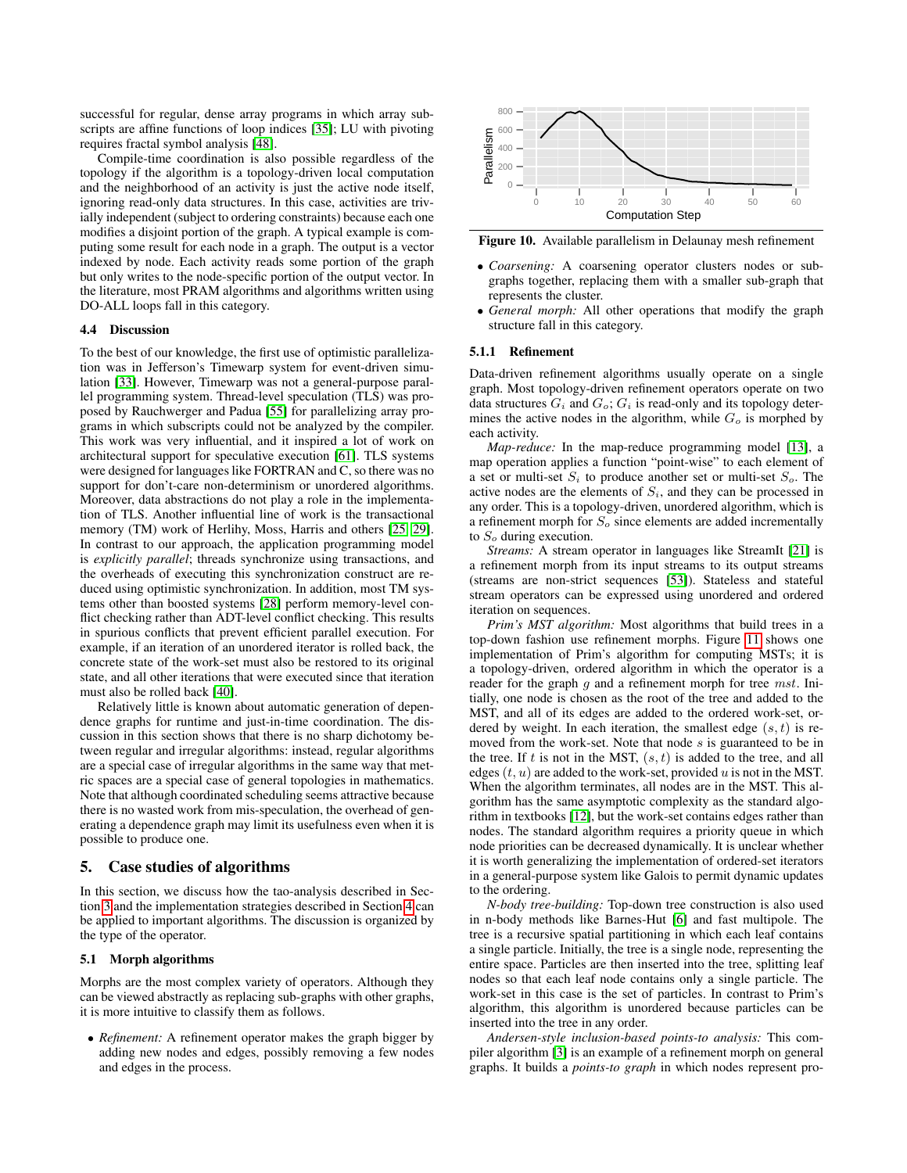successful for regular, dense array programs in which array subscripts are affine functions of loop indices [\[35\]](#page-13-38); LU with pivoting requires fractal symbol analysis [\[48\]](#page-13-39).

Compile-time coordination is also possible regardless of the topology if the algorithm is a topology-driven local computation and the neighborhood of an activity is just the active node itself, ignoring read-only data structures. In this case, activities are trivially independent (subject to ordering constraints) because each one modifies a disjoint portion of the graph. A typical example is computing some result for each node in a graph. The output is a vector indexed by node. Each activity reads some portion of the graph but only writes to the node-specific portion of the output vector. In the literature, most PRAM algorithms and algorithms written using DO-ALL loops fall in this category.

#### 4.4 Discussion

To the best of our knowledge, the first use of optimistic parallelization was in Jefferson's Timewarp system for event-driven simulation [\[33\]](#page-13-7). However, Timewarp was not a general-purpose parallel programming system. Thread-level speculation (TLS) was proposed by Rauchwerger and Padua [\[55\]](#page-13-27) for parallelizing array programs in which subscripts could not be analyzed by the compiler. This work was very influential, and it inspired a lot of work on architectural support for speculative execution [\[61\]](#page-13-28). TLS systems were designed for languages like FORTRAN and C, so there was no support for don't-care non-determinism or unordered algorithms. Moreover, data abstractions do not play a role in the implementation of TLS. Another influential line of work is the transactional memory (TM) work of Herlihy, Moss, Harris and others [\[25,](#page-13-25) [29\]](#page-13-26). In contrast to our approach, the application programming model is *explicitly parallel*; threads synchronize using transactions, and the overheads of executing this synchronization construct are reduced using optimistic synchronization. In addition, most TM systems other than boosted systems [\[28\]](#page-13-40) perform memory-level conflict checking rather than ADT-level conflict checking. This results in spurious conflicts that prevent efficient parallel execution. For example, if an iteration of an unordered iterator is rolled back, the concrete state of the work-set must also be restored to its original state, and all other iterations that were executed since that iteration must also be rolled back [\[40\]](#page-13-17).

Relatively little is known about automatic generation of dependence graphs for runtime and just-in-time coordination. The discussion in this section shows that there is no sharp dichotomy between regular and irregular algorithms: instead, regular algorithms are a special case of irregular algorithms in the same way that metric spaces are a special case of general topologies in mathematics. Note that although coordinated scheduling seems attractive because there is no wasted work from mis-speculation, the overhead of generating a dependence graph may limit its usefulness even when it is possible to produce one.

#### <span id="page-7-0"></span>5. Case studies of algorithms

In this section, we discuss how the tao-analysis described in Section [3](#page-2-0) and the implementation strategies described in Section [4](#page-4-0) can be applied to important algorithms. The discussion is organized by the type of the operator.

#### <span id="page-7-1"></span>5.1 Morph algorithms

Morphs are the most complex variety of operators. Although they can be viewed abstractly as replacing sub-graphs with other graphs, it is more intuitive to classify them as follows.

• *Refinement:* A refinement operator makes the graph bigger by adding new nodes and edges, possibly removing a few nodes and edges in the process.



<span id="page-7-2"></span>Figure 10. Available parallelism in Delaunay mesh refinement

- *Coarsening:* A coarsening operator clusters nodes or subgraphs together, replacing them with a smaller sub-graph that represents the cluster.
- *General morph:* All other operations that modify the graph structure fall in this category.

#### 5.1.1 Refinement

Data-driven refinement algorithms usually operate on a single graph. Most topology-driven refinement operators operate on two data structures  $G_i$  and  $G_o$ ;  $G_i$  is read-only and its topology determines the active nodes in the algorithm, while  $G<sub>o</sub>$  is morphed by each activity.

*Map-reduce:* In the map-reduce programming model [\[13\]](#page-13-41), a map operation applies a function "point-wise" to each element of a set or multi-set  $S_i$  to produce another set or multi-set  $S_o$ . The active nodes are the elements of  $S_i$ , and they can be processed in any order. This is a topology-driven, unordered algorithm, which is a refinement morph for  $S<sub>o</sub>$  since elements are added incrementally to  $S<sub>o</sub>$  during execution.

*Streams:* A stream operator in languages like StreamIt [\[21\]](#page-13-42) is a refinement morph from its input streams to its output streams (streams are non-strict sequences [\[53\]](#page-13-43)). Stateless and stateful stream operators can be expressed using unordered and ordered iteration on sequences.

*Prim's MST algorithm:* Most algorithms that build trees in a top-down fashion use refinement morphs. Figure [11](#page-8-0) shows one implementation of Prim's algorithm for computing MSTs; it is a topology-driven, ordered algorithm in which the operator is a reader for the graph  $g$  and a refinement morph for tree  $mst$ . Initially, one node is chosen as the root of the tree and added to the MST, and all of its edges are added to the ordered work-set, ordered by weight. In each iteration, the smallest edge  $(s, t)$  is removed from the work-set. Note that node s is guaranteed to be in the tree. If t is not in the MST,  $(s, t)$  is added to the tree, and all edges  $(t, u)$  are added to the work-set, provided u is not in the MST. When the algorithm terminates, all nodes are in the MST. This algorithm has the same asymptotic complexity as the standard algorithm in textbooks [\[12\]](#page-13-20), but the work-set contains edges rather than nodes. The standard algorithm requires a priority queue in which node priorities can be decreased dynamically. It is unclear whether it is worth generalizing the implementation of ordered-set iterators in a general-purpose system like Galois to permit dynamic updates to the ordering.

*N-body tree-building:* Top-down tree construction is also used in n-body methods like Barnes-Hut [\[6\]](#page-12-1) and fast multipole. The tree is a recursive spatial partitioning in which each leaf contains a single particle. Initially, the tree is a single node, representing the entire space. Particles are then inserted into the tree, splitting leaf nodes so that each leaf node contains only a single particle. The work-set in this case is the set of particles. In contrast to Prim's algorithm, this algorithm is unordered because particles can be inserted into the tree in any order.

*Andersen-style inclusion-based points-to analysis:* This compiler algorithm [\[3\]](#page-12-7) is an example of a refinement morph on general graphs. It builds a *points-to graph* in which nodes represent pro-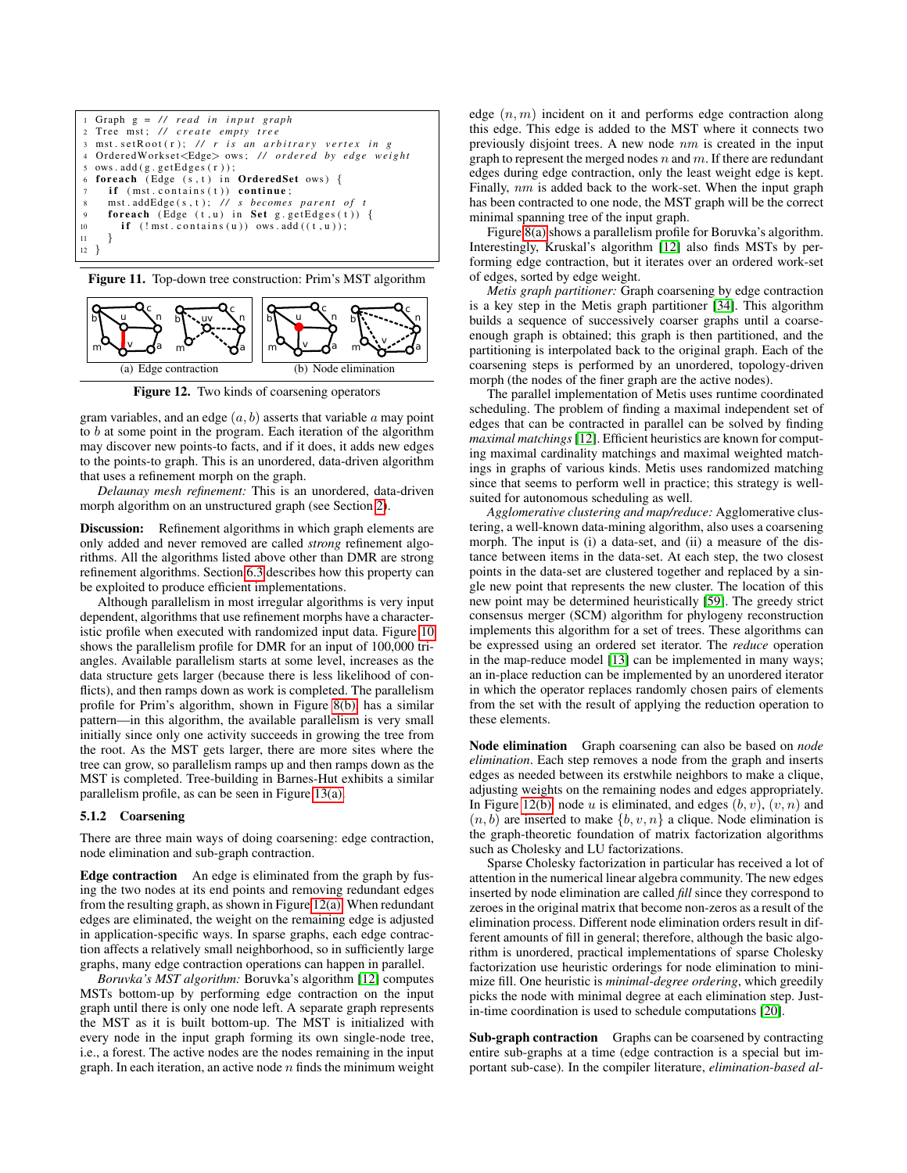

<span id="page-8-0"></span>Figure 11. Top-down tree construction: Prim's MST algorithm

<span id="page-8-1"></span>

<span id="page-8-2"></span>Figure 12. Two kinds of coarsening operators

gram variables, and an edge  $(a, b)$  asserts that variable a may point to  $b$  at some point in the program. Each iteration of the algorithm may discover new points-to facts, and if it does, it adds new edges to the points-to graph. This is an unordered, data-driven algorithm that uses a refinement morph on the graph.

*Delaunay mesh refinement:* This is an unordered, data-driven morph algorithm on an unstructured graph (see Section [2\)](#page-1-0).

Discussion: Refinement algorithms in which graph elements are only added and never removed are called *strong* refinement algorithms. All the algorithms listed above other than DMR are strong refinement algorithms. Section [6.3](#page-11-1) describes how this property can be exploited to produce efficient implementations.

Although parallelism in most irregular algorithms is very input dependent, algorithms that use refinement morphs have a characteristic profile when executed with randomized input data. Figure [10](#page-7-2) shows the parallelism profile for DMR for an input of 100,000 triangles. Available parallelism starts at some level, increases as the data structure gets larger (because there is less likelihood of conflicts), and then ramps down as work is completed. The parallelism profile for Prim's algorithm, shown in Figure [8\(b\),](#page-5-4) has a similar pattern—in this algorithm, the available parallelism is very small initially since only one activity succeeds in growing the tree from the root. As the MST gets larger, there are more sites where the tree can grow, so parallelism ramps up and then ramps down as the MST is completed. Tree-building in Barnes-Hut exhibits a similar parallelism profile, as can be seen in Figure [13\(a\).](#page-11-2)

#### <span id="page-8-3"></span>5.1.2 Coarsening

There are three main ways of doing coarsening: edge contraction, node elimination and sub-graph contraction.

Edge contraction An edge is eliminated from the graph by fusing the two nodes at its end points and removing redundant edges from the resulting graph, as shown in Figure [12\(a\).](#page-8-1) When redundant edges are eliminated, the weight on the remaining edge is adjusted in application-specific ways. In sparse graphs, each edge contraction affects a relatively small neighborhood, so in sufficiently large graphs, many edge contraction operations can happen in parallel.

*Boruvka's MST algorithm:* Boruvka's algorithm [\[12\]](#page-13-20) computes MSTs bottom-up by performing edge contraction on the input graph until there is only one node left. A separate graph represents the MST as it is built bottom-up. The MST is initialized with every node in the input graph forming its own single-node tree, i.e., a forest. The active nodes are the nodes remaining in the input graph. In each iteration, an active node  $n$  finds the minimum weight edge  $(n, m)$  incident on it and performs edge contraction along this edge. This edge is added to the MST where it connects two previously disjoint trees. A new node  $nm$  is created in the input graph to represent the merged nodes  $n$  and  $m$ . If there are redundant edges during edge contraction, only the least weight edge is kept. Finally, nm is added back to the work-set. When the input graph has been contracted to one node, the MST graph will be the correct minimal spanning tree of the input graph.

Figure [8\(a\)](#page-5-5) shows a parallelism profile for Boruvka's algorithm. Interestingly, Kruskal's algorithm [\[12\]](#page-13-20) also finds MSTs by performing edge contraction, but it iterates over an ordered work-set of edges, sorted by edge weight.

*Metis graph partitioner:* Graph coarsening by edge contraction is a key step in the Metis graph partitioner [\[34\]](#page-13-44). This algorithm builds a sequence of successively coarser graphs until a coarseenough graph is obtained; this graph is then partitioned, and the partitioning is interpolated back to the original graph. Each of the coarsening steps is performed by an unordered, topology-driven morph (the nodes of the finer graph are the active nodes).

The parallel implementation of Metis uses runtime coordinated scheduling. The problem of finding a maximal independent set of edges that can be contracted in parallel can be solved by finding *maximal matchings*[\[12\]](#page-13-20). Efficient heuristics are known for computing maximal cardinality matchings and maximal weighted matchings in graphs of various kinds. Metis uses randomized matching since that seems to perform well in practice; this strategy is wellsuited for autonomous scheduling as well.

*Agglomerative clustering and map/reduce:* Agglomerative clustering, a well-known data-mining algorithm, also uses a coarsening morph. The input is (i) a data-set, and (ii) a measure of the distance between items in the data-set. At each step, the two closest points in the data-set are clustered together and replaced by a single new point that represents the new cluster. The location of this new point may be determined heuristically [\[59\]](#page-13-2). The greedy strict consensus merger (SCM) algorithm for phylogeny reconstruction implements this algorithm for a set of trees. These algorithms can be expressed using an ordered set iterator. The *reduce* operation in the map-reduce model [\[13\]](#page-13-41) can be implemented in many ways; an in-place reduction can be implemented by an unordered iterator in which the operator replaces randomly chosen pairs of elements from the set with the result of applying the reduction operation to these elements.

Node elimination Graph coarsening can also be based on *node elimination*. Each step removes a node from the graph and inserts edges as needed between its erstwhile neighbors to make a clique, adjusting weights on the remaining nodes and edges appropriately. In Figure [12\(b\),](#page-8-2) node u is eliminated, and edges  $(b, v)$ ,  $(v, n)$  and  $(n, b)$  are inserted to make  $\{b, v, n\}$  a clique. Node elimination is the graph-theoretic foundation of matrix factorization algorithms such as Cholesky and LU factorizations.

Sparse Cholesky factorization in particular has received a lot of attention in the numerical linear algebra community. The new edges inserted by node elimination are called *fill* since they correspond to zeroes in the original matrix that become non-zeros as a result of the elimination process. Different node elimination orders result in different amounts of fill in general; therefore, although the basic algorithm is unordered, practical implementations of sparse Cholesky factorization use heuristic orderings for node elimination to minimize fill. One heuristic is *minimal-degree ordering*, which greedily picks the node with minimal degree at each elimination step. Justin-time coordination is used to schedule computations [\[20\]](#page-13-5).

Sub-graph contraction Graphs can be coarsened by contracting entire sub-graphs at a time (edge contraction is a special but important sub-case). In the compiler literature, *elimination-based al-*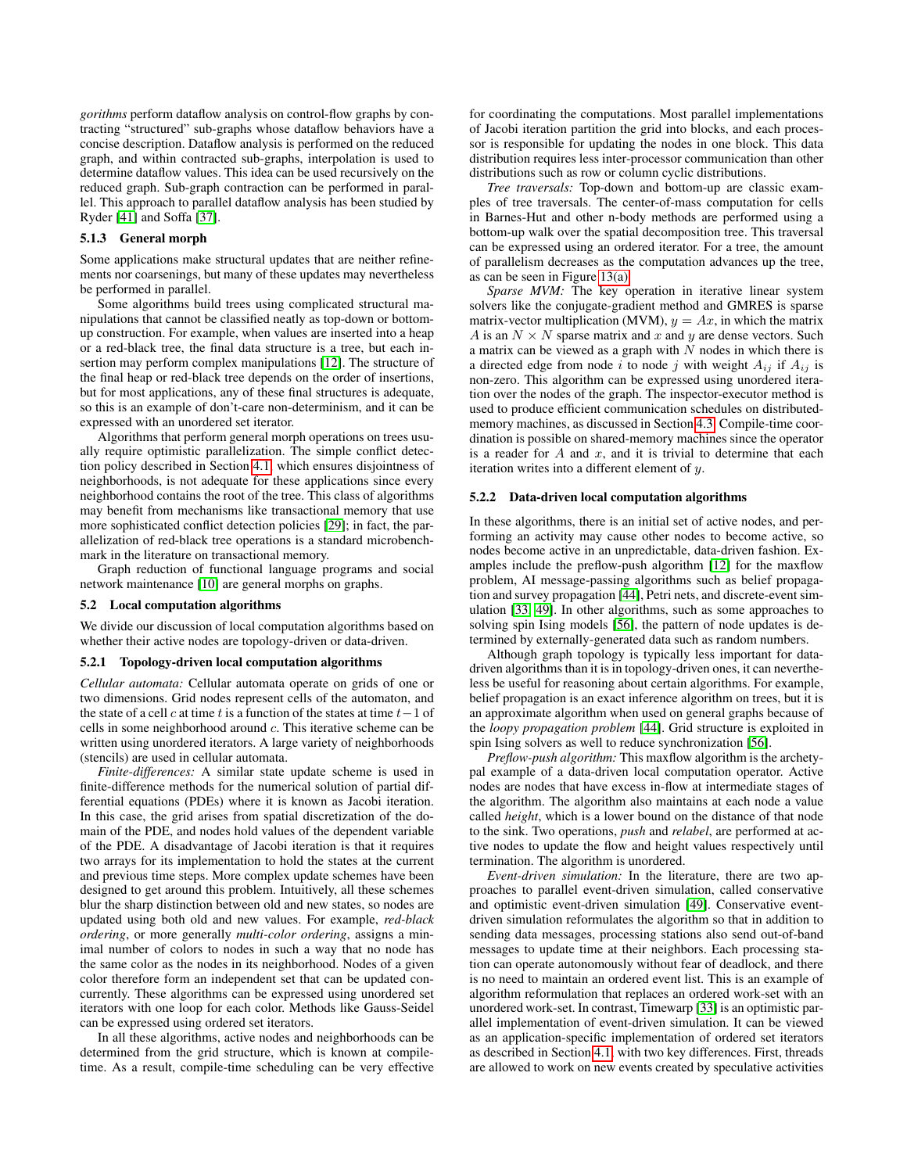*gorithms* perform dataflow analysis on control-flow graphs by contracting "structured" sub-graphs whose dataflow behaviors have a concise description. Dataflow analysis is performed on the reduced graph, and within contracted sub-graphs, interpolation is used to determine dataflow values. This idea can be used recursively on the reduced graph. Sub-graph contraction can be performed in parallel. This approach to parallel dataflow analysis has been studied by Ryder [\[41\]](#page-13-45) and Soffa [\[37\]](#page-13-46).

#### 5.1.3 General morph

Some applications make structural updates that are neither refinements nor coarsenings, but many of these updates may nevertheless be performed in parallel.

Some algorithms build trees using complicated structural manipulations that cannot be classified neatly as top-down or bottomup construction. For example, when values are inserted into a heap or a red-black tree, the final data structure is a tree, but each insertion may perform complex manipulations [\[12\]](#page-13-20). The structure of the final heap or red-black tree depends on the order of insertions, but for most applications, any of these final structures is adequate, so this is an example of don't-care non-determinism, and it can be expressed with an unordered set iterator.

Algorithms that perform general morph operations on trees usually require optimistic parallelization. The simple conflict detection policy described in Section [4.1,](#page-4-2) which ensures disjointness of neighborhoods, is not adequate for these applications since every neighborhood contains the root of the tree. This class of algorithms may benefit from mechanisms like transactional memory that use more sophisticated conflict detection policies [\[29\]](#page-13-26); in fact, the parallelization of red-black tree operations is a standard microbenchmark in the literature on transactional memory.

Graph reduction of functional language programs and social network maintenance [\[10\]](#page-13-0) are general morphs on graphs.

#### <span id="page-9-0"></span>5.2 Local computation algorithms

We divide our discussion of local computation algorithms based on whether their active nodes are topology-driven or data-driven.

#### 5.2.1 Topology-driven local computation algorithms

*Cellular automata:* Cellular automata operate on grids of one or two dimensions. Grid nodes represent cells of the automaton, and the state of a cell c at time t is a function of the states at time  $t-1$  of cells in some neighborhood around c. This iterative scheme can be written using unordered iterators. A large variety of neighborhoods (stencils) are used in cellular automata.

*Finite-differences:* A similar state update scheme is used in finite-difference methods for the numerical solution of partial differential equations (PDEs) where it is known as Jacobi iteration. In this case, the grid arises from spatial discretization of the domain of the PDE, and nodes hold values of the dependent variable of the PDE. A disadvantage of Jacobi iteration is that it requires two arrays for its implementation to hold the states at the current and previous time steps. More complex update schemes have been designed to get around this problem. Intuitively, all these schemes blur the sharp distinction between old and new states, so nodes are updated using both old and new values. For example, *red-black ordering*, or more generally *multi-color ordering*, assigns a minimal number of colors to nodes in such a way that no node has the same color as the nodes in its neighborhood. Nodes of a given color therefore form an independent set that can be updated concurrently. These algorithms can be expressed using unordered set iterators with one loop for each color. Methods like Gauss-Seidel can be expressed using ordered set iterators.

In all these algorithms, active nodes and neighborhoods can be determined from the grid structure, which is known at compiletime. As a result, compile-time scheduling can be very effective for coordinating the computations. Most parallel implementations of Jacobi iteration partition the grid into blocks, and each processor is responsible for updating the nodes in one block. This data distribution requires less inter-processor communication than other distributions such as row or column cyclic distributions.

*Tree traversals:* Top-down and bottom-up are classic examples of tree traversals. The center-of-mass computation for cells in Barnes-Hut and other n-body methods are performed using a bottom-up walk over the spatial decomposition tree. This traversal can be expressed using an ordered iterator. For a tree, the amount of parallelism decreases as the computation advances up the tree, as can be seen in Figure [13\(a\).](#page-11-2)

*Sparse MVM:* The key operation in iterative linear system solvers like the conjugate-gradient method and GMRES is sparse matrix-vector multiplication (MVM),  $y = Ax$ , in which the matrix A is an  $N \times N$  sparse matrix and x and y are dense vectors. Such a matrix can be viewed as a graph with  $N$  nodes in which there is a directed edge from node i to node j with weight  $A_{ij}$  if  $A_{ij}$  is non-zero. This algorithm can be expressed using unordered iteration over the nodes of the graph. The inspector-executor method is used to produce efficient communication schedules on distributedmemory machines, as discussed in Section [4.3.](#page-5-6) Compile-time coordination is possible on shared-memory machines since the operator is a reader for  $A$  and  $x$ , and it is trivial to determine that each iteration writes into a different element of y.

#### <span id="page-9-1"></span>5.2.2 Data-driven local computation algorithms

In these algorithms, there is an initial set of active nodes, and performing an activity may cause other nodes to become active, so nodes become active in an unpredictable, data-driven fashion. Examples include the preflow-push algorithm [\[12\]](#page-13-20) for the maxflow problem, AI message-passing algorithms such as belief propagation and survey propagation [\[44\]](#page-13-1), Petri nets, and discrete-event simulation [\[33,](#page-13-7) [49\]](#page-13-3). In other algorithms, such as some approaches to solving spin Ising models [\[56\]](#page-13-47), the pattern of node updates is determined by externally-generated data such as random numbers.

Although graph topology is typically less important for datadriven algorithms than it is in topology-driven ones, it can nevertheless be useful for reasoning about certain algorithms. For example, belief propagation is an exact inference algorithm on trees, but it is an approximate algorithm when used on general graphs because of the *loopy propagation problem* [\[44\]](#page-13-1). Grid structure is exploited in spin Ising solvers as well to reduce synchronization [\[56\]](#page-13-47).

*Preflow-push algorithm:* This maxflow algorithm is the archetypal example of a data-driven local computation operator. Active nodes are nodes that have excess in-flow at intermediate stages of the algorithm. The algorithm also maintains at each node a value called *height*, which is a lower bound on the distance of that node to the sink. Two operations, *push* and *relabel*, are performed at active nodes to update the flow and height values respectively until termination. The algorithm is unordered.

*Event-driven simulation:* In the literature, there are two approaches to parallel event-driven simulation, called conservative and optimistic event-driven simulation [\[49\]](#page-13-3). Conservative eventdriven simulation reformulates the algorithm so that in addition to sending data messages, processing stations also send out-of-band messages to update time at their neighbors. Each processing station can operate autonomously without fear of deadlock, and there is no need to maintain an ordered event list. This is an example of algorithm reformulation that replaces an ordered work-set with an unordered work-set. In contrast, Timewarp [\[33\]](#page-13-7) is an optimistic parallel implementation of event-driven simulation. It can be viewed as an application-specific implementation of ordered set iterators as described in Section [4.1,](#page-4-2) with two key differences. First, threads are allowed to work on new events created by speculative activities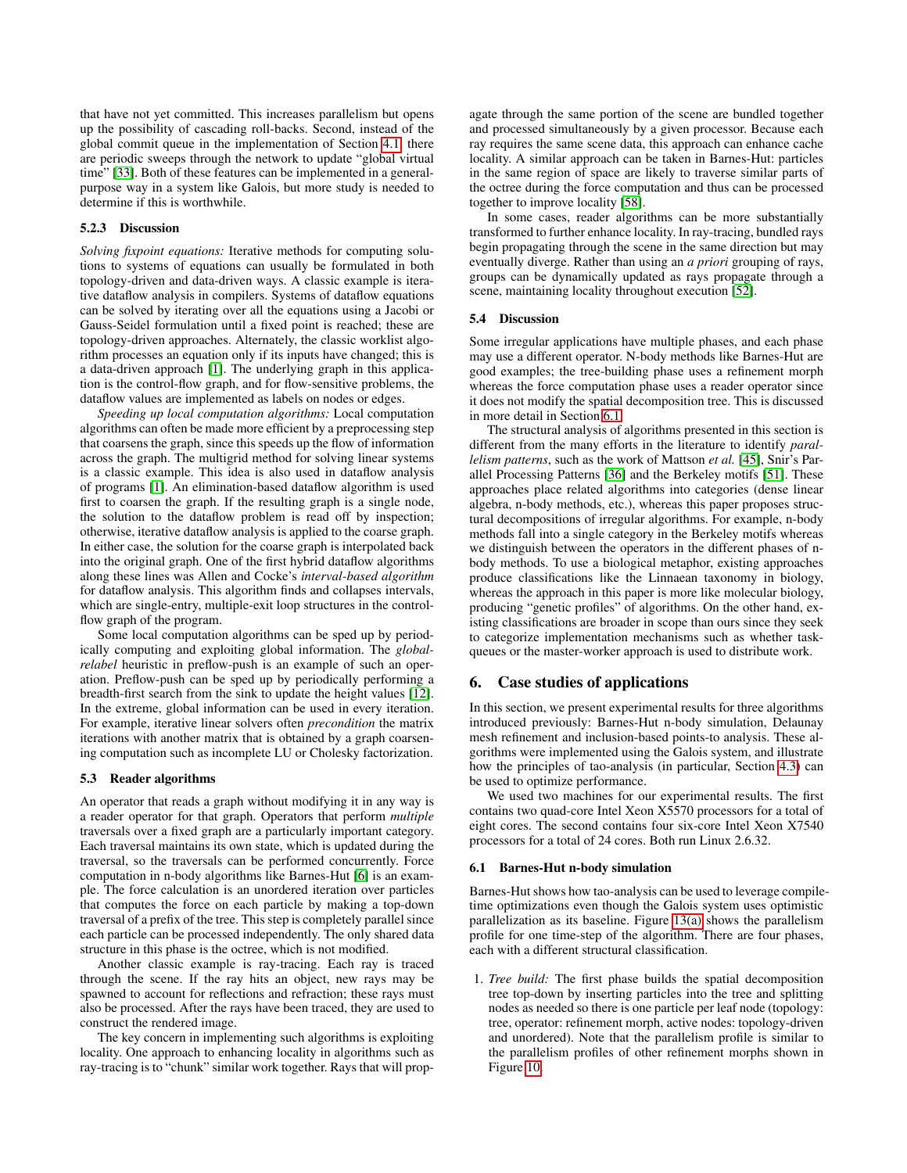that have not yet committed. This increases parallelism but opens up the possibility of cascading roll-backs. Second, instead of the global commit queue in the implementation of Section [4.1,](#page-4-2) there are periodic sweeps through the network to update "global virtual time" [\[33\]](#page-13-7). Both of these features can be implemented in a generalpurpose way in a system like Galois, but more study is needed to determine if this is worthwhile.

#### 5.2.3 Discussion

*Solving fixpoint equations:* Iterative methods for computing solutions to systems of equations can usually be formulated in both topology-driven and data-driven ways. A classic example is iterative dataflow analysis in compilers. Systems of dataflow equations can be solved by iterating over all the equations using a Jacobi or Gauss-Seidel formulation until a fixed point is reached; these are topology-driven approaches. Alternately, the classic worklist algorithm processes an equation only if its inputs have changed; this is a data-driven approach [\[1\]](#page-12-0). The underlying graph in this application is the control-flow graph, and for flow-sensitive problems, the dataflow values are implemented as labels on nodes or edges.

*Speeding up local computation algorithms:* Local computation algorithms can often be made more efficient by a preprocessing step that coarsens the graph, since this speeds up the flow of information across the graph. The multigrid method for solving linear systems is a classic example. This idea is also used in dataflow analysis of programs [\[1\]](#page-12-0). An elimination-based dataflow algorithm is used first to coarsen the graph. If the resulting graph is a single node, the solution to the dataflow problem is read off by inspection; otherwise, iterative dataflow analysis is applied to the coarse graph. In either case, the solution for the coarse graph is interpolated back into the original graph. One of the first hybrid dataflow algorithms along these lines was Allen and Cocke's *interval-based algorithm* for dataflow analysis. This algorithm finds and collapses intervals, which are single-entry, multiple-exit loop structures in the controlflow graph of the program.

Some local computation algorithms can be sped up by periodically computing and exploiting global information. The *globalrelabel* heuristic in preflow-push is an example of such an operation. Preflow-push can be sped up by periodically performing a breadth-first search from the sink to update the height values [\[12\]](#page-13-20). In the extreme, global information can be used in every iteration. For example, iterative linear solvers often *precondition* the matrix iterations with another matrix that is obtained by a graph coarsening computation such as incomplete LU or Cholesky factorization.

#### <span id="page-10-1"></span>5.3 Reader algorithms

An operator that reads a graph without modifying it in any way is a reader operator for that graph. Operators that perform *multiple* traversals over a fixed graph are a particularly important category. Each traversal maintains its own state, which is updated during the traversal, so the traversals can be performed concurrently. Force computation in n-body algorithms like Barnes-Hut [\[6\]](#page-12-1) is an example. The force calculation is an unordered iteration over particles that computes the force on each particle by making a top-down traversal of a prefix of the tree. This step is completely parallel since each particle can be processed independently. The only shared data structure in this phase is the octree, which is not modified.

Another classic example is ray-tracing. Each ray is traced through the scene. If the ray hits an object, new rays may be spawned to account for reflections and refraction; these rays must also be processed. After the rays have been traced, they are used to construct the rendered image.

The key concern in implementing such algorithms is exploiting locality. One approach to enhancing locality in algorithms such as ray-tracing is to "chunk" similar work together. Rays that will prop-

agate through the same portion of the scene are bundled together and processed simultaneously by a given processor. Because each ray requires the same scene data, this approach can enhance cache locality. A similar approach can be taken in Barnes-Hut: particles in the same region of space are likely to traverse similar parts of the octree during the force computation and thus can be processed together to improve locality [\[58\]](#page-13-48).

In some cases, reader algorithms can be more substantially transformed to further enhance locality. In ray-tracing, bundled rays begin propagating through the scene in the same direction but may eventually diverge. Rather than using an *a priori* grouping of rays, groups can be dynamically updated as rays propagate through a scene, maintaining locality throughout execution [\[52\]](#page-13-49).

#### 5.4 Discussion

Some irregular applications have multiple phases, and each phase may use a different operator. N-body methods like Barnes-Hut are good examples; the tree-building phase uses a refinement morph whereas the force computation phase uses a reader operator since it does not modify the spatial decomposition tree. This is discussed in more detail in Section [6.1.](#page-10-2)

The structural analysis of algorithms presented in this section is different from the many efforts in the literature to identify *parallelism patterns*, such as the work of Mattson *et al.* [\[45\]](#page-13-50), Snir's Parallel Processing Patterns [\[36\]](#page-13-51) and the Berkeley motifs [\[51\]](#page-13-52). These approaches place related algorithms into categories (dense linear algebra, n-body methods, etc.), whereas this paper proposes structural decompositions of irregular algorithms. For example, n-body methods fall into a single category in the Berkeley motifs whereas we distinguish between the operators in the different phases of nbody methods. To use a biological metaphor, existing approaches produce classifications like the Linnaean taxonomy in biology, whereas the approach in this paper is more like molecular biology, producing "genetic profiles" of algorithms. On the other hand, existing classifications are broader in scope than ours since they seek to categorize implementation mechanisms such as whether taskqueues or the master-worker approach is used to distribute work.

#### <span id="page-10-0"></span>6. Case studies of applications

In this section, we present experimental results for three algorithms introduced previously: Barnes-Hut n-body simulation, Delaunay mesh refinement and inclusion-based points-to analysis. These algorithms were implemented using the Galois system, and illustrate how the principles of tao-analysis (in particular, Section [4.3\)](#page-5-6) can be used to optimize performance.

We used two machines for our experimental results. The first contains two quad-core Intel Xeon X5570 processors for a total of eight cores. The second contains four six-core Intel Xeon X7540 processors for a total of 24 cores. Both run Linux 2.6.32.

#### <span id="page-10-2"></span>6.1 Barnes-Hut n-body simulation

Barnes-Hut shows how tao-analysis can be used to leverage compiletime optimizations even though the Galois system uses optimistic parallelization as its baseline. Figure [13\(a\)](#page-11-2) shows the parallelism profile for one time-step of the algorithm. There are four phases, each with a different structural classification.

1. *Tree build:* The first phase builds the spatial decomposition tree top-down by inserting particles into the tree and splitting nodes as needed so there is one particle per leaf node (topology: tree, operator: refinement morph, active nodes: topology-driven and unordered). Note that the parallelism profile is similar to the parallelism profiles of other refinement morphs shown in Figure [10.](#page-7-2)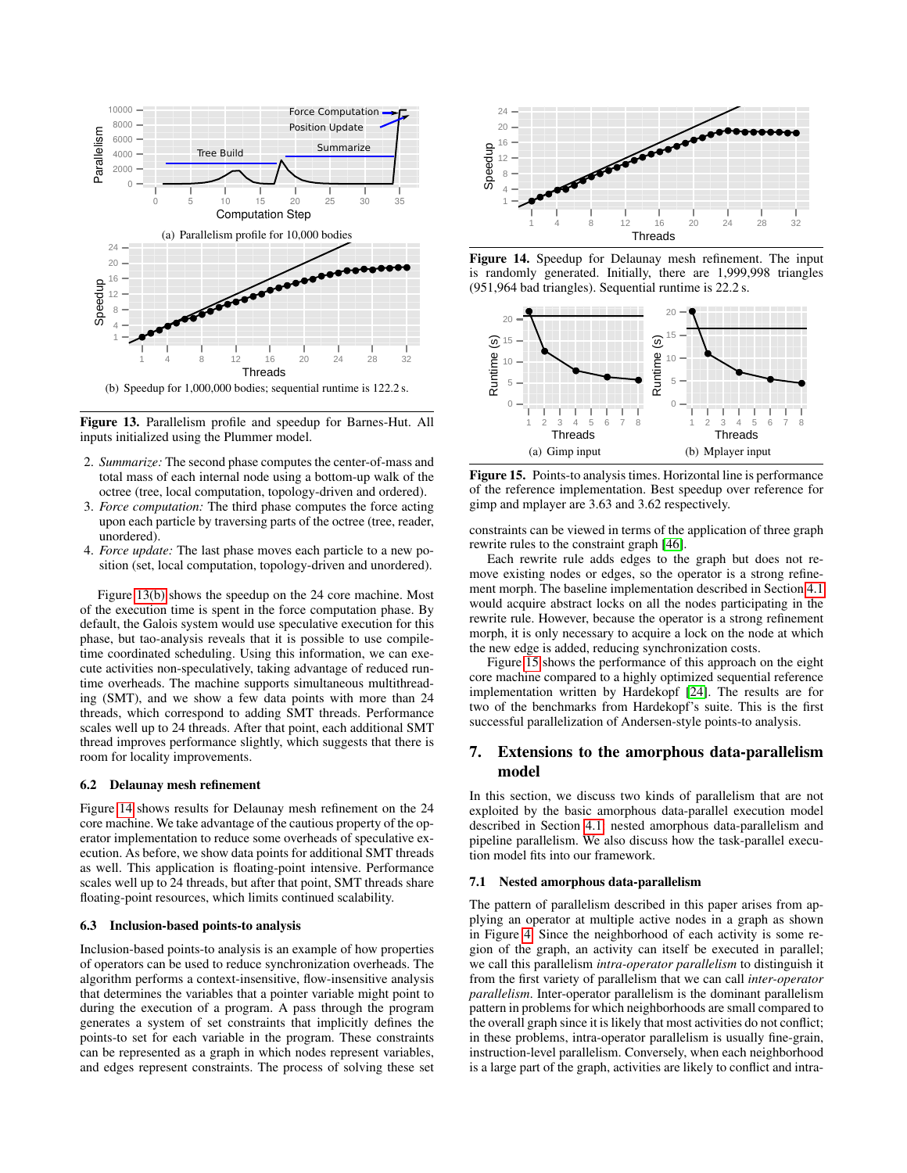<span id="page-11-2"></span>

<span id="page-11-3"></span>Figure 13. Parallelism profile and speedup for Barnes-Hut. All inputs initialized using the Plummer model.

- 2. *Summarize:* The second phase computes the center-of-mass and total mass of each internal node using a bottom-up walk of the octree (tree, local computation, topology-driven and ordered).
- 3. *Force computation:* The third phase computes the force acting upon each particle by traversing parts of the octree (tree, reader, unordered).
- 4. *Force update:* The last phase moves each particle to a new position (set, local computation, topology-driven and unordered).

Figure [13\(b\)](#page-11-3) shows the speedup on the 24 core machine. Most of the execution time is spent in the force computation phase. By default, the Galois system would use speculative execution for this phase, but tao-analysis reveals that it is possible to use compiletime coordinated scheduling. Using this information, we can execute activities non-speculatively, taking advantage of reduced runtime overheads. The machine supports simultaneous multithreading (SMT), and we show a few data points with more than 24 threads, which correspond to adding SMT threads. Performance scales well up to 24 threads. After that point, each additional SMT thread improves performance slightly, which suggests that there is room for locality improvements.

#### 6.2 Delaunay mesh refinement

Figure [14](#page-11-4) shows results for Delaunay mesh refinement on the 24 core machine. We take advantage of the cautious property of the operator implementation to reduce some overheads of speculative execution. As before, we show data points for additional SMT threads as well. This application is floating-point intensive. Performance scales well up to 24 threads, but after that point, SMT threads share floating-point resources, which limits continued scalability.

#### <span id="page-11-1"></span>6.3 Inclusion-based points-to analysis

Inclusion-based points-to analysis is an example of how properties of operators can be used to reduce synchronization overheads. The algorithm performs a context-insensitive, flow-insensitive analysis that determines the variables that a pointer variable might point to during the execution of a program. A pass through the program generates a system of set constraints that implicitly defines the points-to set for each variable in the program. These constraints can be represented as a graph in which nodes represent variables, and edges represent constraints. The process of solving these set



<span id="page-11-4"></span>Figure 14. Speedup for Delaunay mesh refinement. The input is randomly generated. Initially, there are 1,999,998 triangles (951,964 bad triangles). Sequential runtime is 22.2 s.



<span id="page-11-5"></span>Figure 15. Points-to analysis times. Horizontal line is performance of the reference implementation. Best speedup over reference for gimp and mplayer are 3.63 and 3.62 respectively.

constraints can be viewed in terms of the application of three graph rewrite rules to the constraint graph [\[46\]](#page-13-53).

Each rewrite rule adds edges to the graph but does not remove existing nodes or edges, so the operator is a strong refinement morph. The baseline implementation described in Section [4.1](#page-4-2) would acquire abstract locks on all the nodes participating in the rewrite rule. However, because the operator is a strong refinement morph, it is only necessary to acquire a lock on the node at which the new edge is added, reducing synchronization costs.

Figure [15](#page-11-5) shows the performance of this approach on the eight core machine compared to a highly optimized sequential reference implementation written by Hardekopf [\[24\]](#page-13-54). The results are for two of the benchmarks from Hardekopf's suite. This is the first successful parallelization of Andersen-style points-to analysis.

## <span id="page-11-0"></span>7. Extensions to the amorphous data-parallelism model

In this section, we discuss two kinds of parallelism that are not exploited by the basic amorphous data-parallel execution model described in Section [4.1:](#page-4-2) nested amorphous data-parallelism and pipeline parallelism. We also discuss how the task-parallel execution model fits into our framework.

#### 7.1 Nested amorphous data-parallelism

The pattern of parallelism described in this paper arises from applying an operator at multiple active nodes in a graph as shown in Figure [4.](#page-2-3) Since the neighborhood of each activity is some region of the graph, an activity can itself be executed in parallel; we call this parallelism *intra-operator parallelism* to distinguish it from the first variety of parallelism that we can call *inter-operator parallelism*. Inter-operator parallelism is the dominant parallelism pattern in problems for which neighborhoods are small compared to the overall graph since it is likely that most activities do not conflict; in these problems, intra-operator parallelism is usually fine-grain, instruction-level parallelism. Conversely, when each neighborhood is a large part of the graph, activities are likely to conflict and intra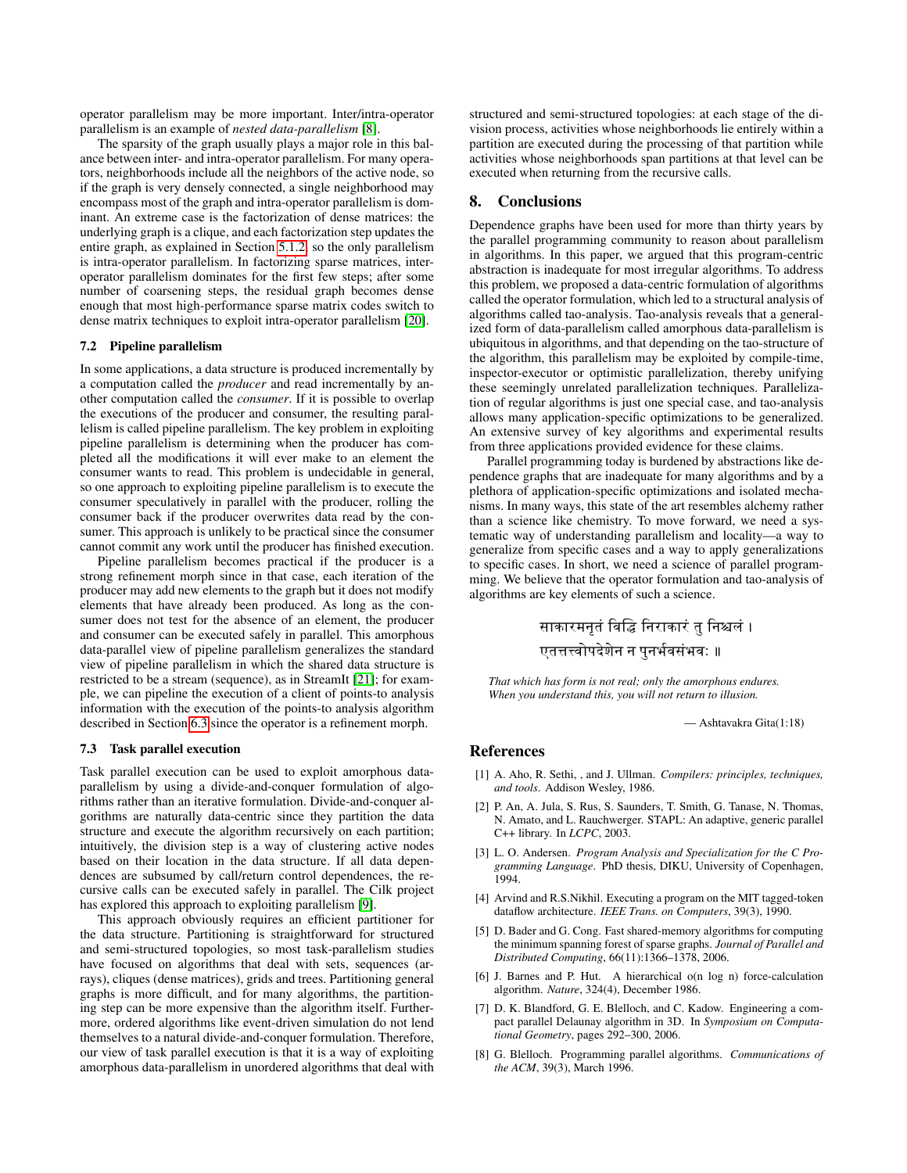operator parallelism may be more important. Inter/intra-operator parallelism is an example of *nested data-parallelism* [\[8\]](#page-12-8).

The sparsity of the graph usually plays a major role in this balance between inter- and intra-operator parallelism. For many operators, neighborhoods include all the neighbors of the active node, so if the graph is very densely connected, a single neighborhood may encompass most of the graph and intra-operator parallelism is dominant. An extreme case is the factorization of dense matrices: the underlying graph is a clique, and each factorization step updates the entire graph, as explained in Section [5.1.2,](#page-8-3) so the only parallelism is intra-operator parallelism. In factorizing sparse matrices, interoperator parallelism dominates for the first few steps; after some number of coarsening steps, the residual graph becomes dense enough that most high-performance sparse matrix codes switch to dense matrix techniques to exploit intra-operator parallelism [\[20\]](#page-13-5).

#### 7.2 Pipeline parallelism

In some applications, a data structure is produced incrementally by a computation called the *producer* and read incrementally by another computation called the *consumer*. If it is possible to overlap the executions of the producer and consumer, the resulting parallelism is called pipeline parallelism. The key problem in exploiting pipeline parallelism is determining when the producer has completed all the modifications it will ever make to an element the consumer wants to read. This problem is undecidable in general, so one approach to exploiting pipeline parallelism is to execute the consumer speculatively in parallel with the producer, rolling the consumer back if the producer overwrites data read by the consumer. This approach is unlikely to be practical since the consumer cannot commit any work until the producer has finished execution.

Pipeline parallelism becomes practical if the producer is a strong refinement morph since in that case, each iteration of the producer may add new elements to the graph but it does not modify elements that have already been produced. As long as the consumer does not test for the absence of an element, the producer and consumer can be executed safely in parallel. This amorphous data-parallel view of pipeline parallelism generalizes the standard view of pipeline parallelism in which the shared data structure is restricted to be a stream (sequence), as in StreamIt [\[21\]](#page-13-42); for example, we can pipeline the execution of a client of points-to analysis information with the execution of the points-to analysis algorithm described in Section [6.3](#page-11-1) since the operator is a refinement morph.

#### 7.3 Task parallel execution

Task parallel execution can be used to exploit amorphous dataparallelism by using a divide-and-conquer formulation of algorithms rather than an iterative formulation. Divide-and-conquer algorithms are naturally data-centric since they partition the data structure and execute the algorithm recursively on each partition; intuitively, the division step is a way of clustering active nodes based on their location in the data structure. If all data dependences are subsumed by call/return control dependences, the recursive calls can be executed safely in parallel. The Cilk project has explored this approach to exploiting parallelism [\[9\]](#page-13-55).

This approach obviously requires an efficient partitioner for the data structure. Partitioning is straightforward for structured and semi-structured topologies, so most task-parallelism studies have focused on algorithms that deal with sets, sequences (arrays), cliques (dense matrices), grids and trees. Partitioning general graphs is more difficult, and for many algorithms, the partitioning step can be more expensive than the algorithm itself. Furthermore, ordered algorithms like event-driven simulation do not lend themselves to a natural divide-and-conquer formulation. Therefore, our view of task parallel execution is that it is a way of exploiting amorphous data-parallelism in unordered algorithms that deal with

structured and semi-structured topologies: at each stage of the division process, activities whose neighborhoods lie entirely within a partition are executed during the processing of that partition while activities whose neighborhoods span partitions at that level can be executed when returning from the recursive calls.

#### <span id="page-12-4"></span>8. Conclusions

Dependence graphs have been used for more than thirty years by the parallel programming community to reason about parallelism in algorithms. In this paper, we argued that this program-centric abstraction is inadequate for most irregular algorithms. To address this problem, we proposed a data-centric formulation of algorithms called the operator formulation, which led to a structural analysis of algorithms called tao-analysis. Tao-analysis reveals that a generalized form of data-parallelism called amorphous data-parallelism is ubiquitous in algorithms, and that depending on the tao-structure of the algorithm, this parallelism may be exploited by compile-time, inspector-executor or optimistic parallelization, thereby unifying these seemingly unrelated parallelization techniques. Parallelization of regular algorithms is just one special case, and tao-analysis allows many application-specific optimizations to be generalized. An extensive survey of key algorithms and experimental results from three applications provided evidence for these claims.

Parallel programming today is burdened by abstractions like dependence graphs that are inadequate for many algorithms and by a plethora of application-specific optimizations and isolated mechanisms. In many ways, this state of the art resembles alchemy rather than a science like chemistry. To move forward, we need a systematic way of understanding parallelism and locality—a way to generalize from specific cases and a way to apply generalizations to specific cases. In short, we need a science of parallel programming. We believe that the operator formulation and tao-analysis of algorithms are key elements of such a science.

## साकारमनृतं विद्धि निराकारं तु निश्चलं । एतत्तत्त्वोपदेशेन न पुनर्भवसंभवः ॥

*That which has form is not real; only the amorphous endures. When you understand this, you will not return to illusion.*

— Ashtavakra Gita(1:18)

#### References

- <span id="page-12-0"></span>[1] A. Aho, R. Sethi, , and J. Ullman. *Compilers: principles, techniques, and tools*. Addison Wesley, 1986.
- <span id="page-12-3"></span>[2] P. An, A. Jula, S. Rus, S. Saunders, T. Smith, G. Tanase, N. Thomas, N. Amato, and L. Rauchwerger. STAPL: An adaptive, generic parallel C++ library. In *LCPC*, 2003.
- <span id="page-12-7"></span>[3] L. O. Andersen. *Program Analysis and Specialization for the C Programming Language*. PhD thesis, DIKU, University of Copenhagen, 1994.
- <span id="page-12-5"></span>[4] Arvind and R.S.Nikhil. Executing a program on the MIT tagged-token dataflow architecture. *IEEE Trans. on Computers*, 39(3), 1990.
- <span id="page-12-2"></span>[5] D. Bader and G. Cong. Fast shared-memory algorithms for computing the minimum spanning forest of sparse graphs. *Journal of Parallel and Distributed Computing*, 66(11):1366–1378, 2006.
- <span id="page-12-1"></span>[6] J. Barnes and P. Hut. A hierarchical o(n log n) force-calculation algorithm. *Nature*, 324(4), December 1986.
- <span id="page-12-6"></span>D. K. Blandford, G. E. Blelloch, and C. Kadow. Engineering a compact parallel Delaunay algorithm in 3D. In *Symposium on Computational Geometry*, pages 292–300, 2006.
- <span id="page-12-8"></span>[8] G. Blelloch. Programming parallel algorithms. *Communications of the ACM*, 39(3), March 1996.